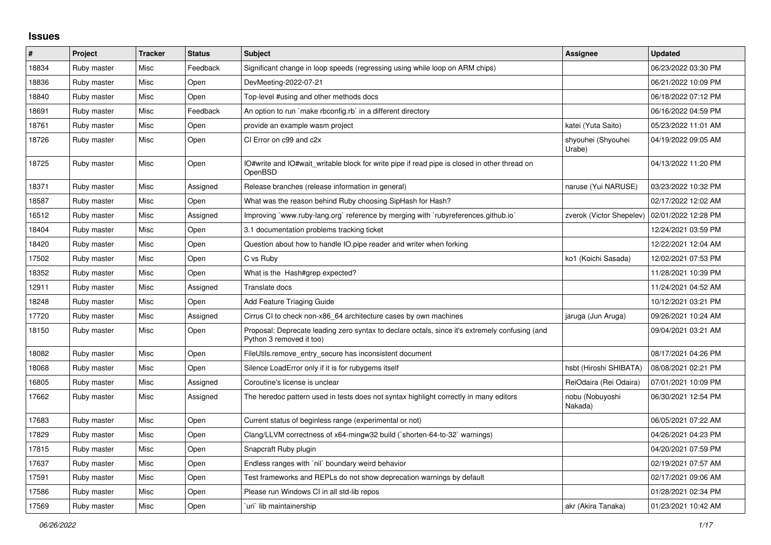## **Issues**

| $\vert$ # | Project     | <b>Tracker</b> | <b>Status</b> | <b>Subject</b>                                                                                                             | <b>Assignee</b>              | <b>Updated</b>      |
|-----------|-------------|----------------|---------------|----------------------------------------------------------------------------------------------------------------------------|------------------------------|---------------------|
| 18834     | Ruby master | Misc           | Feedback      | Significant change in loop speeds (regressing using while loop on ARM chips)                                               |                              | 06/23/2022 03:30 PM |
| 18836     | Ruby master | Misc           | Open          | DevMeeting-2022-07-21                                                                                                      |                              | 06/21/2022 10:09 PM |
| 18840     | Ruby master | Misc           | Open          | Top-level #using and other methods docs                                                                                    |                              | 06/18/2022 07:12 PM |
| 18691     | Ruby master | Misc           | Feedback      | An option to run `make rbconfig.rb` in a different directory                                                               |                              | 06/16/2022 04:59 PM |
| 18761     | Ruby master | Misc           | Open          | provide an example wasm project                                                                                            | katei (Yuta Saito)           | 05/23/2022 11:01 AM |
| 18726     | Ruby master | Misc           | Open          | CI Error on c99 and c2x                                                                                                    | shyouhei (Shyouhei<br>Urabe) | 04/19/2022 09:05 AM |
| 18725     | Ruby master | Misc           | Open          | IO#write and IO#wait writable block for write pipe if read pipe is closed in other thread on<br>OpenBSD                    |                              | 04/13/2022 11:20 PM |
| 18371     | Ruby master | Misc           | Assigned      | Release branches (release information in general)                                                                          | naruse (Yui NARUSE)          | 03/23/2022 10:32 PM |
| 18587     | Ruby master | Misc           | Open          | What was the reason behind Ruby choosing SipHash for Hash?                                                                 |                              | 02/17/2022 12:02 AM |
| 16512     | Ruby master | Misc           | Assigned      | Improving `www.ruby-lang.org` reference by merging with `rubyreferences.github.io`                                         | zverok (Victor Shepelev)     | 02/01/2022 12:28 PM |
| 18404     | Ruby master | Misc           | Open          | 3.1 documentation problems tracking ticket                                                                                 |                              | 12/24/2021 03:59 PM |
| 18420     | Ruby master | Misc           | Open          | Question about how to handle IO.pipe reader and writer when forking                                                        |                              | 12/22/2021 12:04 AM |
| 17502     | Ruby master | Misc           | Open          | C vs Ruby                                                                                                                  | ko1 (Koichi Sasada)          | 12/02/2021 07:53 PM |
| 18352     | Ruby master | Misc           | Open          | What is the Hash#grep expected?                                                                                            |                              | 11/28/2021 10:39 PM |
| 12911     | Ruby master | Misc           | Assigned      | Translate docs                                                                                                             |                              | 11/24/2021 04:52 AM |
| 18248     | Ruby master | Misc           | Open          | Add Feature Triaging Guide                                                                                                 |                              | 10/12/2021 03:21 PM |
| 17720     | Ruby master | Misc           | Assigned      | Cirrus CI to check non-x86_64 architecture cases by own machines                                                           | jaruga (Jun Aruga)           | 09/26/2021 10:24 AM |
| 18150     | Ruby master | Misc           | Open          | Proposal: Deprecate leading zero syntax to declare octals, since it's extremely confusing (and<br>Python 3 removed it too) |                              | 09/04/2021 03:21 AM |
| 18082     | Ruby master | Misc           | Open          | FileUtils.remove entry secure has inconsistent document                                                                    |                              | 08/17/2021 04:26 PM |
| 18068     | Ruby master | Misc           | Open          | Silence LoadError only if it is for rubygems itself                                                                        | hsbt (Hiroshi SHIBATA)       | 08/08/2021 02:21 PM |
| 16805     | Ruby master | Misc           | Assigned      | Coroutine's license is unclear                                                                                             | ReiOdaira (Rei Odaira)       | 07/01/2021 10:09 PM |
| 17662     | Ruby master | Misc           | Assigned      | The heredoc pattern used in tests does not syntax highlight correctly in many editors                                      | nobu (Nobuyoshi<br>Nakada)   | 06/30/2021 12:54 PM |
| 17683     | Ruby master | Misc           | Open          | Current status of beginless range (experimental or not)                                                                    |                              | 06/05/2021 07:22 AM |
| 17829     | Ruby master | Misc           | Open          | Clang/LLVM correctness of x64-mingw32 build (`shorten-64-to-32` warnings)                                                  |                              | 04/26/2021 04:23 PM |
| 17815     | Ruby master | Misc           | Open          | Snapcraft Ruby plugin                                                                                                      |                              | 04/20/2021 07:59 PM |
| 17637     | Ruby master | Misc           | Open          | Endless ranges with `nil` boundary weird behavior                                                                          |                              | 02/19/2021 07:57 AM |
| 17591     | Ruby master | Misc           | Open          | Test frameworks and REPLs do not show deprecation warnings by default                                                      |                              | 02/17/2021 09:06 AM |
| 17586     | Ruby master | Misc           | Open          | Please run Windows CI in all std-lib repos                                                                                 |                              | 01/28/2021 02:34 PM |
| 17569     | Ruby master | Misc           | Open          | uri`lib maintainership                                                                                                     | akr (Akira Tanaka)           | 01/23/2021 10:42 AM |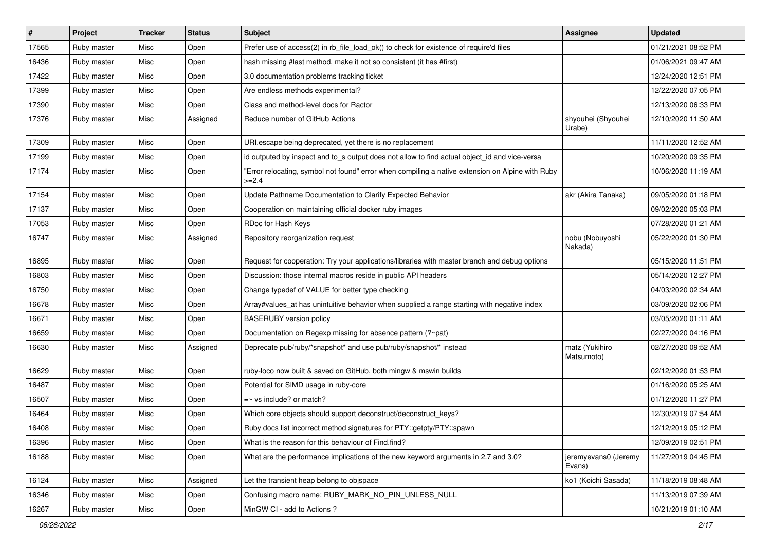| #     | Project     | <b>Tracker</b> | <b>Status</b> | <b>Subject</b>                                                                                              | <b>Assignee</b>                | <b>Updated</b>      |
|-------|-------------|----------------|---------------|-------------------------------------------------------------------------------------------------------------|--------------------------------|---------------------|
| 17565 | Ruby master | Misc           | Open          | Prefer use of access(2) in rb_file_load_ok() to check for existence of require'd files                      |                                | 01/21/2021 08:52 PM |
| 16436 | Ruby master | Misc           | Open          | hash missing #last method, make it not so consistent (it has #first)                                        |                                | 01/06/2021 09:47 AM |
| 17422 | Ruby master | Misc           | Open          | 3.0 documentation problems tracking ticket                                                                  |                                | 12/24/2020 12:51 PM |
| 17399 | Ruby master | Misc           | Open          | Are endless methods experimental?                                                                           |                                | 12/22/2020 07:05 PM |
| 17390 | Ruby master | Misc           | Open          | Class and method-level docs for Ractor                                                                      |                                | 12/13/2020 06:33 PM |
| 17376 | Ruby master | Misc           | Assigned      | Reduce number of GitHub Actions                                                                             | shyouhei (Shyouhei<br>Urabe)   | 12/10/2020 11:50 AM |
| 17309 | Ruby master | Misc           | Open          | URI.escape being deprecated, yet there is no replacement                                                    |                                | 11/11/2020 12:52 AM |
| 17199 | Ruby master | Misc           | Open          | id outputed by inspect and to_s output does not allow to find actual object_id and vice-versa               |                                | 10/20/2020 09:35 PM |
| 17174 | Ruby master | Misc           | Open          | "Error relocating, symbol not found" error when compiling a native extension on Alpine with Ruby<br>$>=2.4$ |                                | 10/06/2020 11:19 AM |
| 17154 | Ruby master | Misc           | Open          | Update Pathname Documentation to Clarify Expected Behavior                                                  | akr (Akira Tanaka)             | 09/05/2020 01:18 PM |
| 17137 | Ruby master | Misc           | Open          | Cooperation on maintaining official docker ruby images                                                      |                                | 09/02/2020 05:03 PM |
| 17053 | Ruby master | Misc           | Open          | RDoc for Hash Keys                                                                                          |                                | 07/28/2020 01:21 AM |
| 16747 | Ruby master | Misc           | Assigned      | Repository reorganization request                                                                           | nobu (Nobuyoshi<br>Nakada)     | 05/22/2020 01:30 PM |
| 16895 | Ruby master | Misc           | Open          | Request for cooperation: Try your applications/libraries with master branch and debug options               |                                | 05/15/2020 11:51 PM |
| 16803 | Ruby master | Misc           | Open          | Discussion: those internal macros reside in public API headers                                              |                                | 05/14/2020 12:27 PM |
| 16750 | Ruby master | Misc           | Open          | Change typedef of VALUE for better type checking                                                            |                                | 04/03/2020 02:34 AM |
| 16678 | Ruby master | Misc           | Open          | Array#values_at has unintuitive behavior when supplied a range starting with negative index                 |                                | 03/09/2020 02:06 PM |
| 16671 | Ruby master | Misc           | Open          | <b>BASERUBY</b> version policy                                                                              |                                | 03/05/2020 01:11 AM |
| 16659 | Ruby master | Misc           | Open          | Documentation on Regexp missing for absence pattern (?~pat)                                                 |                                | 02/27/2020 04:16 PM |
| 16630 | Ruby master | Misc           | Assigned      | Deprecate pub/ruby/*snapshot* and use pub/ruby/snapshot/* instead                                           | matz (Yukihiro<br>Matsumoto)   | 02/27/2020 09:52 AM |
| 16629 | Ruby master | Misc           | Open          | ruby-loco now built & saved on GitHub, both mingw & mswin builds                                            |                                | 02/12/2020 01:53 PM |
| 16487 | Ruby master | Misc           | Open          | Potential for SIMD usage in ruby-core                                                                       |                                | 01/16/2020 05:25 AM |
| 16507 | Ruby master | Misc           | Open          | $=$ vs include? or match?                                                                                   |                                | 01/12/2020 11:27 PM |
| 16464 | Ruby master | Misc           | Open          | Which core objects should support deconstruct/deconstruct_keys?                                             |                                | 12/30/2019 07:54 AM |
| 16408 | Ruby master | Misc           | Open          | Ruby docs list incorrect method signatures for PTY::getpty/PTY::spawn                                       |                                | 12/12/2019 05:12 PM |
| 16396 | Ruby master | Misc           | Open          | What is the reason for this behaviour of Find.find?                                                         |                                | 12/09/2019 02:51 PM |
| 16188 | Ruby master | Misc           | Open          | What are the performance implications of the new keyword arguments in 2.7 and 3.0?                          | jeremyevans0 (Jeremy<br>Evans) | 11/27/2019 04:45 PM |
| 16124 | Ruby master | Misc           | Assigned      | Let the transient heap belong to objspace                                                                   | ko1 (Koichi Sasada)            | 11/18/2019 08:48 AM |
| 16346 | Ruby master | Misc           | Open          | Confusing macro name: RUBY MARK NO PIN UNLESS NULL                                                          |                                | 11/13/2019 07:39 AM |
| 16267 | Ruby master | Misc           | Open          | MinGW CI - add to Actions?                                                                                  |                                | 10/21/2019 01:10 AM |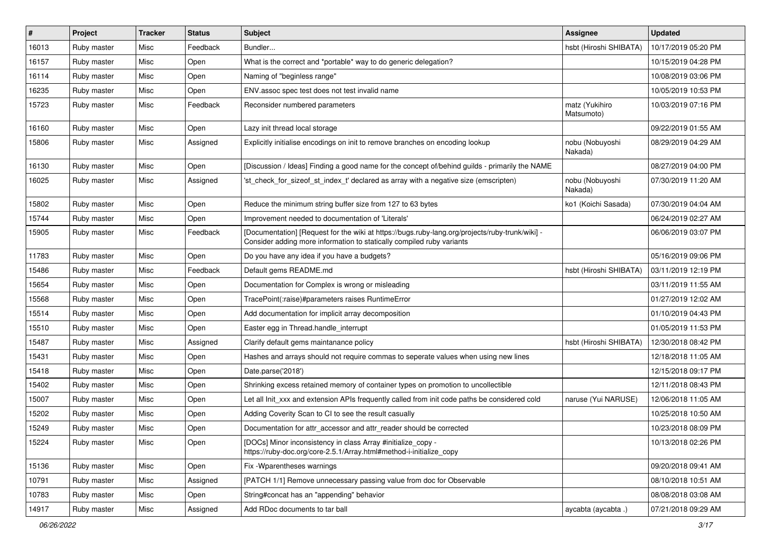| $\vert$ # | Project     | <b>Tracker</b> | <b>Status</b> | <b>Subject</b>                                                                                                                                                           | <b>Assignee</b>              | <b>Updated</b>      |
|-----------|-------------|----------------|---------------|--------------------------------------------------------------------------------------------------------------------------------------------------------------------------|------------------------------|---------------------|
| 16013     | Ruby master | Misc           | Feedback      | Bundler                                                                                                                                                                  | hsbt (Hiroshi SHIBATA)       | 10/17/2019 05:20 PM |
| 16157     | Ruby master | Misc           | Open          | What is the correct and *portable* way to do generic delegation?                                                                                                         |                              | 10/15/2019 04:28 PM |
| 16114     | Ruby master | Misc           | Open          | Naming of "beginless range"                                                                                                                                              |                              | 10/08/2019 03:06 PM |
| 16235     | Ruby master | Misc           | Open          | ENV assoc spec test does not test invalid name                                                                                                                           |                              | 10/05/2019 10:53 PM |
| 15723     | Ruby master | Misc           | Feedback      | Reconsider numbered parameters                                                                                                                                           | matz (Yukihiro<br>Matsumoto) | 10/03/2019 07:16 PM |
| 16160     | Ruby master | Misc           | Open          | Lazy init thread local storage                                                                                                                                           |                              | 09/22/2019 01:55 AM |
| 15806     | Ruby master | Misc           | Assigned      | Explicitly initialise encodings on init to remove branches on encoding lookup                                                                                            | nobu (Nobuyoshi<br>Nakada)   | 08/29/2019 04:29 AM |
| 16130     | Ruby master | Misc           | Open          | [Discussion / Ideas] Finding a good name for the concept of/behind guilds - primarily the NAME                                                                           |                              | 08/27/2019 04:00 PM |
| 16025     | Ruby master | Misc           | Assigned      | 'st check for sizeof st index t' declared as array with a negative size (emscripten)                                                                                     | nobu (Nobuyoshi<br>Nakada)   | 07/30/2019 11:20 AM |
| 15802     | Ruby master | Misc           | Open          | Reduce the minimum string buffer size from 127 to 63 bytes                                                                                                               | ko1 (Koichi Sasada)          | 07/30/2019 04:04 AM |
| 15744     | Ruby master | Misc           | Open          | Improvement needed to documentation of 'Literals'                                                                                                                        |                              | 06/24/2019 02:27 AM |
| 15905     | Ruby master | Misc           | Feedback      | [Documentation] [Request for the wiki at https://bugs.ruby-lang.org/projects/ruby-trunk/wiki] -<br>Consider adding more information to statically compiled ruby variants |                              | 06/06/2019 03:07 PM |
| 11783     | Ruby master | Misc           | Open          | Do you have any idea if you have a budgets?                                                                                                                              |                              | 05/16/2019 09:06 PM |
| 15486     | Ruby master | Misc           | Feedback      | Default gems README.md                                                                                                                                                   | hsbt (Hiroshi SHIBATA)       | 03/11/2019 12:19 PM |
| 15654     | Ruby master | Misc           | Open          | Documentation for Complex is wrong or misleading                                                                                                                         |                              | 03/11/2019 11:55 AM |
| 15568     | Ruby master | Misc           | Open          | TracePoint(:raise)#parameters raises RuntimeError                                                                                                                        |                              | 01/27/2019 12:02 AM |
| 15514     | Ruby master | Misc           | Open          | Add documentation for implicit array decomposition                                                                                                                       |                              | 01/10/2019 04:43 PM |
| 15510     | Ruby master | Misc           | Open          | Easter egg in Thread.handle_interrupt                                                                                                                                    |                              | 01/05/2019 11:53 PM |
| 15487     | Ruby master | Misc           | Assigned      | Clarify default gems maintanance policy                                                                                                                                  | hsbt (Hiroshi SHIBATA)       | 12/30/2018 08:42 PM |
| 15431     | Ruby master | Misc           | Open          | Hashes and arrays should not require commas to seperate values when using new lines                                                                                      |                              | 12/18/2018 11:05 AM |
| 15418     | Ruby master | Misc           | Open          | Date.parse('2018')                                                                                                                                                       |                              | 12/15/2018 09:17 PM |
| 15402     | Ruby master | Misc           | Open          | Shrinking excess retained memory of container types on promotion to uncollectible                                                                                        |                              | 12/11/2018 08:43 PM |
| 15007     | Ruby master | Misc           | Open          | Let all Init xxx and extension APIs frequently called from init code paths be considered cold                                                                            | naruse (Yui NARUSE)          | 12/06/2018 11:05 AM |
| 15202     | Ruby master | Misc           | Open          | Adding Coverity Scan to CI to see the result casually                                                                                                                    |                              | 10/25/2018 10:50 AM |
| 15249     | Ruby master | Misc           | Open          | Documentation for attr accessor and attr reader should be corrected                                                                                                      |                              | 10/23/2018 08:09 PM |
| 15224     | Ruby master | Misc           | Open          | [DOCs] Minor inconsistency in class Array #initialize_copy -<br>https://ruby-doc.org/core-2.5.1/Array.html#method-i-initialize_copy                                      |                              | 10/13/2018 02:26 PM |
| 15136     | Ruby master | Misc           | Open          | Fix - Wparentheses warnings                                                                                                                                              |                              | 09/20/2018 09:41 AM |
| 10791     | Ruby master | Misc           | Assigned      | [PATCH 1/1] Remove unnecessary passing value from doc for Observable                                                                                                     |                              | 08/10/2018 10:51 AM |
| 10783     | Ruby master | Misc           | Open          | String#concat has an "appending" behavior                                                                                                                                |                              | 08/08/2018 03:08 AM |
| 14917     | Ruby master | Misc           | Assigned      | Add RDoc documents to tar ball                                                                                                                                           | aycabta (aycabta.)           | 07/21/2018 09:29 AM |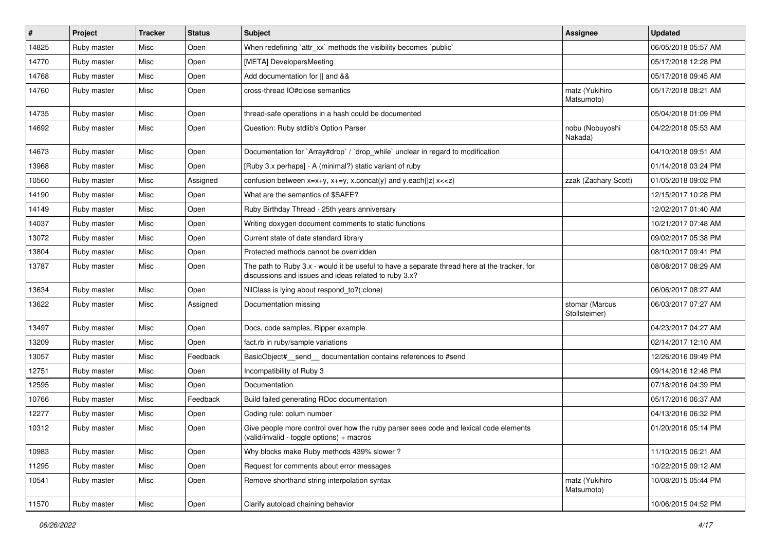| #     | Project     | <b>Tracker</b> | <b>Status</b> | <b>Subject</b>                                                                                                                                        | <b>Assignee</b>                 | <b>Updated</b>      |
|-------|-------------|----------------|---------------|-------------------------------------------------------------------------------------------------------------------------------------------------------|---------------------------------|---------------------|
| 14825 | Ruby master | Misc           | Open          | When redefining `attr_xx` methods the visibility becomes `public`                                                                                     |                                 | 06/05/2018 05:57 AM |
| 14770 | Ruby master | Misc           | Open          | [META] DevelopersMeeting                                                                                                                              |                                 | 05/17/2018 12:28 PM |
| 14768 | Ruby master | Misc           | Open          | Add documentation for    and &&                                                                                                                       |                                 | 05/17/2018 09:45 AM |
| 14760 | Ruby master | Misc           | Open          | cross-thread IO#close semantics                                                                                                                       | matz (Yukihiro<br>Matsumoto)    | 05/17/2018 08:21 AM |
| 14735 | Ruby master | Misc           | Open          | thread-safe operations in a hash could be documented                                                                                                  |                                 | 05/04/2018 01:09 PM |
| 14692 | Ruby master | Misc           | Open          | Question: Ruby stdlib's Option Parser                                                                                                                 | nobu (Nobuyoshi<br>Nakada)      | 04/22/2018 05:53 AM |
| 14673 | Ruby master | Misc           | Open          | Documentation for `Array#drop` / `drop_while` unclear in regard to modification                                                                       |                                 | 04/10/2018 09:51 AM |
| 13968 | Ruby master | Misc           | Open          | [Ruby 3.x perhaps] - A (minimal?) static variant of ruby                                                                                              |                                 | 01/14/2018 03:24 PM |
| 10560 | Ruby master | Misc           | Assigned      | confusion between x=x+y, x+=y, x.concat(y) and y.each{ z  x< <z}< td=""><td>zzak (Zachary Scott)</td><td>01/05/2018 09:02 PM</td></z}<>               | zzak (Zachary Scott)            | 01/05/2018 09:02 PM |
| 14190 | Ruby master | Misc           | Open          | What are the semantics of \$SAFE?                                                                                                                     |                                 | 12/15/2017 10:28 PM |
| 14149 | Ruby master | Misc           | Open          | Ruby Birthday Thread - 25th years anniversary                                                                                                         |                                 | 12/02/2017 01:40 AM |
| 14037 | Ruby master | Misc           | Open          | Writing doxygen document comments to static functions                                                                                                 |                                 | 10/21/2017 07:48 AM |
| 13072 | Ruby master | Misc           | Open          | Current state of date standard library                                                                                                                |                                 | 09/02/2017 05:38 PM |
| 13804 | Ruby master | Misc           | Open          | Protected methods cannot be overridden                                                                                                                |                                 | 08/10/2017 09:41 PM |
| 13787 | Ruby master | Misc           | Open          | The path to Ruby 3.x - would it be useful to have a separate thread here at the tracker, for<br>discussions and issues and ideas related to ruby 3.x? |                                 | 08/08/2017 08:29 AM |
| 13634 | Ruby master | Misc           | Open          | NilClass is lying about respond_to?(:clone)                                                                                                           |                                 | 06/06/2017 08:27 AM |
| 13622 | Ruby master | Misc           | Assigned      | Documentation missing                                                                                                                                 | stomar (Marcus<br>Stollsteimer) | 06/03/2017 07:27 AM |
| 13497 | Ruby master | Misc           | Open          | Docs, code samples, Ripper example                                                                                                                    |                                 | 04/23/2017 04:27 AM |
| 13209 | Ruby master | Misc           | Open          | fact.rb in ruby/sample variations                                                                                                                     |                                 | 02/14/2017 12:10 AM |
| 13057 | Ruby master | Misc           | Feedback      | BasicObject#_send_ documentation contains references to #send                                                                                         |                                 | 12/26/2016 09:49 PM |
| 12751 | Ruby master | Misc           | Open          | Incompatibility of Ruby 3                                                                                                                             |                                 | 09/14/2016 12:48 PM |
| 12595 | Ruby master | Misc           | Open          | Documentation                                                                                                                                         |                                 | 07/18/2016 04:39 PM |
| 10766 | Ruby master | Misc           | Feedback      | Build failed generating RDoc documentation                                                                                                            |                                 | 05/17/2016 06:37 AM |
| 12277 | Ruby master | Misc           | Open          | Coding rule: colum number                                                                                                                             |                                 | 04/13/2016 06:32 PM |
| 10312 | Ruby master | Misc           | Open          | Give people more control over how the ruby parser sees code and lexical code elements<br>(valid/invalid - toggle options) + macros                    |                                 | 01/20/2016 05:14 PM |
| 10983 | Ruby master | Misc           | Open          | Why blocks make Ruby methods 439% slower?                                                                                                             |                                 | 11/10/2015 06:21 AM |
| 11295 | Ruby master | Misc           | Open          | Request for comments about error messages                                                                                                             |                                 | 10/22/2015 09:12 AM |
| 10541 | Ruby master | Misc           | Open          | Remove shorthand string interpolation syntax                                                                                                          | matz (Yukihiro<br>Matsumoto)    | 10/08/2015 05:44 PM |
| 11570 | Ruby master | Misc           | Open          | Clarify autoload chaining behavior                                                                                                                    |                                 | 10/06/2015 04:52 PM |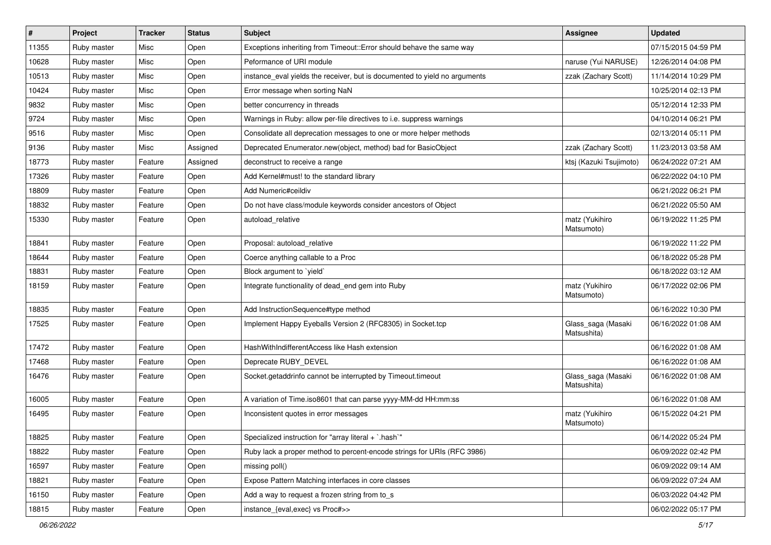| $\vert$ # | Project     | <b>Tracker</b> | <b>Status</b> | Subject                                                                    | <b>Assignee</b>                   | <b>Updated</b>      |
|-----------|-------------|----------------|---------------|----------------------------------------------------------------------------|-----------------------------------|---------------------|
| 11355     | Ruby master | Misc           | Open          | Exceptions inheriting from Timeout:: Error should behave the same way      |                                   | 07/15/2015 04:59 PM |
| 10628     | Ruby master | Misc           | Open          | Peformance of URI module                                                   | naruse (Yui NARUSE)               | 12/26/2014 04:08 PM |
| 10513     | Ruby master | Misc           | Open          | instance_eval yields the receiver, but is documented to yield no arguments | zzak (Zachary Scott)              | 11/14/2014 10:29 PM |
| 10424     | Ruby master | Misc           | Open          | Error message when sorting NaN                                             |                                   | 10/25/2014 02:13 PM |
| 9832      | Ruby master | Misc           | Open          | better concurrency in threads                                              |                                   | 05/12/2014 12:33 PM |
| 9724      | Ruby master | Misc           | Open          | Warnings in Ruby: allow per-file directives to i.e. suppress warnings      |                                   | 04/10/2014 06:21 PM |
| 9516      | Ruby master | Misc           | Open          | Consolidate all deprecation messages to one or more helper methods         |                                   | 02/13/2014 05:11 PM |
| 9136      | Ruby master | Misc           | Assigned      | Deprecated Enumerator.new(object, method) bad for BasicObject              | zzak (Zachary Scott)              | 11/23/2013 03:58 AM |
| 18773     | Ruby master | Feature        | Assigned      | deconstruct to receive a range                                             | ktsj (Kazuki Tsujimoto)           | 06/24/2022 07:21 AM |
| 17326     | Ruby master | Feature        | Open          | Add Kernel#must! to the standard library                                   |                                   | 06/22/2022 04:10 PM |
| 18809     | Ruby master | Feature        | Open          | Add Numeric#ceildiv                                                        |                                   | 06/21/2022 06:21 PM |
| 18832     | Ruby master | Feature        | Open          | Do not have class/module keywords consider ancestors of Object             |                                   | 06/21/2022 05:50 AM |
| 15330     | Ruby master | Feature        | Open          | autoload_relative                                                          | matz (Yukihiro<br>Matsumoto)      | 06/19/2022 11:25 PM |
| 18841     | Ruby master | Feature        | Open          | Proposal: autoload relative                                                |                                   | 06/19/2022 11:22 PM |
| 18644     | Ruby master | Feature        | Open          | Coerce anything callable to a Proc                                         |                                   | 06/18/2022 05:28 PM |
| 18831     | Ruby master | Feature        | Open          | Block argument to `yield`                                                  |                                   | 06/18/2022 03:12 AM |
| 18159     | Ruby master | Feature        | Open          | Integrate functionality of dead_end gem into Ruby                          | matz (Yukihiro<br>Matsumoto)      | 06/17/2022 02:06 PM |
| 18835     | Ruby master | Feature        | Open          | Add InstructionSequence#type method                                        |                                   | 06/16/2022 10:30 PM |
| 17525     | Ruby master | Feature        | Open          | Implement Happy Eyeballs Version 2 (RFC8305) in Socket.tcp                 | Glass_saga (Masaki<br>Matsushita) | 06/16/2022 01:08 AM |
| 17472     | Ruby master | Feature        | Open          | HashWithIndifferentAccess like Hash extension                              |                                   | 06/16/2022 01:08 AM |
| 17468     | Ruby master | Feature        | Open          | Deprecate RUBY_DEVEL                                                       |                                   | 06/16/2022 01:08 AM |
| 16476     | Ruby master | Feature        | Open          | Socket.getaddrinfo cannot be interrupted by Timeout.timeout                | Glass_saga (Masaki<br>Matsushita) | 06/16/2022 01:08 AM |
| 16005     | Ruby master | Feature        | Open          | A variation of Time.iso8601 that can parse yyyy-MM-dd HH:mm:ss             |                                   | 06/16/2022 01:08 AM |
| 16495     | Ruby master | Feature        | Open          | Inconsistent quotes in error messages                                      | matz (Yukihiro<br>Matsumoto)      | 06/15/2022 04:21 PM |
| 18825     | Ruby master | Feature        | Open          | Specialized instruction for "array literal + `.hash`"                      |                                   | 06/14/2022 05:24 PM |
| 18822     | Ruby master | Feature        | Open          | Ruby lack a proper method to percent-encode strings for URIs (RFC 3986)    |                                   | 06/09/2022 02:42 PM |
| 16597     | Ruby master | Feature        | Open          | missing poll()                                                             |                                   | 06/09/2022 09:14 AM |
| 18821     | Ruby master | Feature        | Open          | Expose Pattern Matching interfaces in core classes                         |                                   | 06/09/2022 07:24 AM |
| 16150     | Ruby master | Feature        | Open          | Add a way to request a frozen string from to s                             |                                   | 06/03/2022 04:42 PM |
| 18815     | Ruby master | Feature        | Open          | instance_{eval,exec} vs Proc#>>                                            |                                   | 06/02/2022 05:17 PM |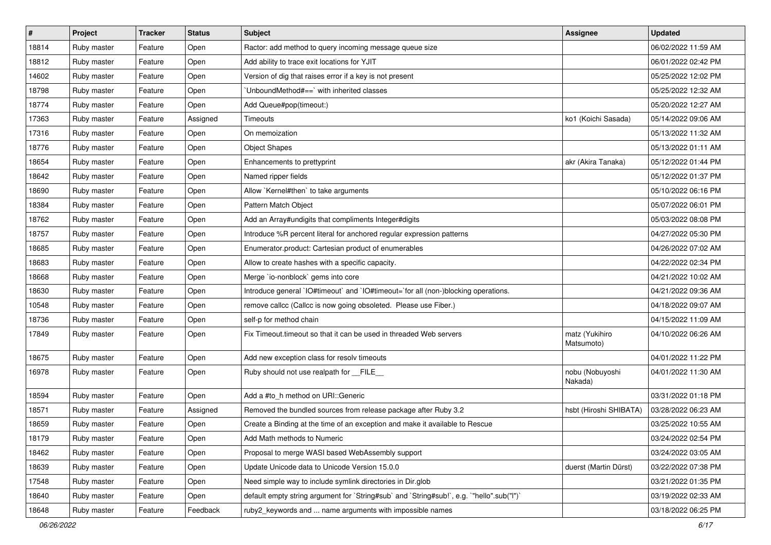| #     | Project     | <b>Tracker</b> | <b>Status</b> | <b>Subject</b>                                                                            | <b>Assignee</b>              | <b>Updated</b>      |
|-------|-------------|----------------|---------------|-------------------------------------------------------------------------------------------|------------------------------|---------------------|
| 18814 | Ruby master | Feature        | Open          | Ractor: add method to query incoming message queue size                                   |                              | 06/02/2022 11:59 AM |
| 18812 | Ruby master | Feature        | Open          | Add ability to trace exit locations for YJIT                                              |                              | 06/01/2022 02:42 PM |
| 14602 | Ruby master | Feature        | Open          | Version of dig that raises error if a key is not present                                  |                              | 05/25/2022 12:02 PM |
| 18798 | Ruby master | Feature        | Open          | 'UnboundMethod#==' with inherited classes                                                 |                              | 05/25/2022 12:32 AM |
| 18774 | Ruby master | Feature        | Open          | Add Queue#pop(timeout:)                                                                   |                              | 05/20/2022 12:27 AM |
| 17363 | Ruby master | Feature        | Assigned      | <b>Timeouts</b>                                                                           | ko1 (Koichi Sasada)          | 05/14/2022 09:06 AM |
| 17316 | Ruby master | Feature        | Open          | On memoization                                                                            |                              | 05/13/2022 11:32 AM |
| 18776 | Ruby master | Feature        | Open          | <b>Object Shapes</b>                                                                      |                              | 05/13/2022 01:11 AM |
| 18654 | Ruby master | Feature        | Open          | Enhancements to prettyprint                                                               | akr (Akira Tanaka)           | 05/12/2022 01:44 PM |
| 18642 | Ruby master | Feature        | Open          | Named ripper fields                                                                       |                              | 05/12/2022 01:37 PM |
| 18690 | Ruby master | Feature        | Open          | Allow `Kernel#then` to take arguments                                                     |                              | 05/10/2022 06:16 PM |
| 18384 | Ruby master | Feature        | Open          | Pattern Match Object                                                                      |                              | 05/07/2022 06:01 PM |
| 18762 | Ruby master | Feature        | Open          | Add an Array#undigits that compliments Integer#digits                                     |                              | 05/03/2022 08:08 PM |
| 18757 | Ruby master | Feature        | Open          | Introduce %R percent literal for anchored regular expression patterns                     |                              | 04/27/2022 05:30 PM |
| 18685 | Ruby master | Feature        | Open          | Enumerator.product: Cartesian product of enumerables                                      |                              | 04/26/2022 07:02 AM |
| 18683 | Ruby master | Feature        | Open          | Allow to create hashes with a specific capacity.                                          |                              | 04/22/2022 02:34 PM |
| 18668 | Ruby master | Feature        | Open          | Merge `io-nonblock` gems into core                                                        |                              | 04/21/2022 10:02 AM |
| 18630 | Ruby master | Feature        | Open          | Introduce general `IO#timeout` and `IO#timeout=`for all (non-)blocking operations.        |                              | 04/21/2022 09:36 AM |
| 10548 | Ruby master | Feature        | Open          | remove callcc (Callcc is now going obsoleted. Please use Fiber.)                          |                              | 04/18/2022 09:07 AM |
| 18736 | Ruby master | Feature        | Open          | self-p for method chain                                                                   |                              | 04/15/2022 11:09 AM |
| 17849 | Ruby master | Feature        | Open          | Fix Timeout.timeout so that it can be used in threaded Web servers                        | matz (Yukihiro<br>Matsumoto) | 04/10/2022 06:26 AM |
| 18675 | Ruby master | Feature        | Open          | Add new exception class for resolv timeouts                                               |                              | 04/01/2022 11:22 PM |
| 16978 | Ruby master | Feature        | Open          | Ruby should not use realpath for FILE                                                     | nobu (Nobuyoshi<br>Nakada)   | 04/01/2022 11:30 AM |
| 18594 | Ruby master | Feature        | Open          | Add a #to_h method on URI::Generic                                                        |                              | 03/31/2022 01:18 PM |
| 18571 | Ruby master | Feature        | Assigned      | Removed the bundled sources from release package after Ruby 3.2                           | hsbt (Hiroshi SHIBATA)       | 03/28/2022 06:23 AM |
| 18659 | Ruby master | Feature        | Open          | Create a Binding at the time of an exception and make it available to Rescue              |                              | 03/25/2022 10:55 AM |
| 18179 | Ruby master | Feature        | Open          | Add Math methods to Numeric                                                               |                              | 03/24/2022 02:54 PM |
| 18462 | Ruby master | Feature        | Open          | Proposal to merge WASI based WebAssembly support                                          |                              | 03/24/2022 03:05 AM |
| 18639 | Ruby master | Feature        | Open          | Update Unicode data to Unicode Version 15.0.0                                             | duerst (Martin Dürst)        | 03/22/2022 07:38 PM |
| 17548 | Ruby master | Feature        | Open          | Need simple way to include symlink directories in Dir.glob                                |                              | 03/21/2022 01:35 PM |
| 18640 | Ruby master | Feature        | Open          | default empty string argument for `String#sub` and `String#sub!`, e.g. `"hello".sub("I")` |                              | 03/19/2022 02:33 AM |
| 18648 | Ruby master | Feature        | Feedback      | ruby2_keywords and  name arguments with impossible names                                  |                              | 03/18/2022 06:25 PM |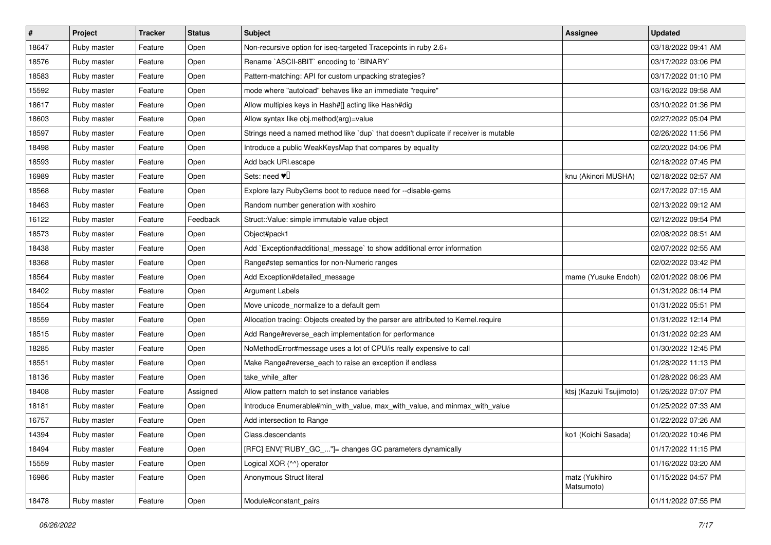| $\sharp$ | Project     | <b>Tracker</b> | <b>Status</b> | Subject                                                                              | Assignee                     | <b>Updated</b>      |
|----------|-------------|----------------|---------------|--------------------------------------------------------------------------------------|------------------------------|---------------------|
| 18647    | Ruby master | Feature        | Open          | Non-recursive option for iseq-targeted Tracepoints in ruby 2.6+                      |                              | 03/18/2022 09:41 AM |
| 18576    | Ruby master | Feature        | Open          | Rename `ASCII-8BIT` encoding to `BINARY`                                             |                              | 03/17/2022 03:06 PM |
| 18583    | Ruby master | Feature        | Open          | Pattern-matching: API for custom unpacking strategies?                               |                              | 03/17/2022 01:10 PM |
| 15592    | Ruby master | Feature        | Open          | mode where "autoload" behaves like an immediate "require"                            |                              | 03/16/2022 09:58 AM |
| 18617    | Ruby master | Feature        | Open          | Allow multiples keys in Hash#[] acting like Hash#dig                                 |                              | 03/10/2022 01:36 PM |
| 18603    | Ruby master | Feature        | Open          | Allow syntax like obj.method(arg)=value                                              |                              | 02/27/2022 05:04 PM |
| 18597    | Ruby master | Feature        | Open          | Strings need a named method like 'dup' that doesn't duplicate if receiver is mutable |                              | 02/26/2022 11:56 PM |
| 18498    | Ruby master | Feature        | Open          | Introduce a public WeakKeysMap that compares by equality                             |                              | 02/20/2022 04:06 PM |
| 18593    | Ruby master | Feature        | Open          | Add back URI.escape                                                                  |                              | 02/18/2022 07:45 PM |
| 16989    | Ruby master | Feature        | Open          | Sets: need $\Psi$                                                                    | knu (Akinori MUSHA)          | 02/18/2022 02:57 AM |
| 18568    | Ruby master | Feature        | Open          | Explore lazy RubyGems boot to reduce need for --disable-gems                         |                              | 02/17/2022 07:15 AM |
| 18463    | Ruby master | Feature        | Open          | Random number generation with xoshiro                                                |                              | 02/13/2022 09:12 AM |
| 16122    | Ruby master | Feature        | Feedback      | Struct::Value: simple immutable value object                                         |                              | 02/12/2022 09:54 PM |
| 18573    | Ruby master | Feature        | Open          | Object#pack1                                                                         |                              | 02/08/2022 08:51 AM |
| 18438    | Ruby master | Feature        | Open          | Add `Exception#additional_message` to show additional error information              |                              | 02/07/2022 02:55 AM |
| 18368    | Ruby master | Feature        | Open          | Range#step semantics for non-Numeric ranges                                          |                              | 02/02/2022 03:42 PM |
| 18564    | Ruby master | Feature        | Open          | Add Exception#detailed_message                                                       | mame (Yusuke Endoh)          | 02/01/2022 08:06 PM |
| 18402    | Ruby master | Feature        | Open          | <b>Argument Labels</b>                                                               |                              | 01/31/2022 06:14 PM |
| 18554    | Ruby master | Feature        | Open          | Move unicode_normalize to a default gem                                              |                              | 01/31/2022 05:51 PM |
| 18559    | Ruby master | Feature        | Open          | Allocation tracing: Objects created by the parser are attributed to Kernel.require   |                              | 01/31/2022 12:14 PM |
| 18515    | Ruby master | Feature        | Open          | Add Range#reverse_each implementation for performance                                |                              | 01/31/2022 02:23 AM |
| 18285    | Ruby master | Feature        | Open          | NoMethodError#message uses a lot of CPU/is really expensive to call                  |                              | 01/30/2022 12:45 PM |
| 18551    | Ruby master | Feature        | Open          | Make Range#reverse_each to raise an exception if endless                             |                              | 01/28/2022 11:13 PM |
| 18136    | Ruby master | Feature        | Open          | take_while_after                                                                     |                              | 01/28/2022 06:23 AM |
| 18408    | Ruby master | Feature        | Assigned      | Allow pattern match to set instance variables                                        | ktsj (Kazuki Tsujimoto)      | 01/26/2022 07:07 PM |
| 18181    | Ruby master | Feature        | Open          | Introduce Enumerable#min_with_value, max_with_value, and minmax_with_value           |                              | 01/25/2022 07:33 AM |
| 16757    | Ruby master | Feature        | Open          | Add intersection to Range                                                            |                              | 01/22/2022 07:26 AM |
| 14394    | Ruby master | Feature        | Open          | Class.descendants                                                                    | ko1 (Koichi Sasada)          | 01/20/2022 10:46 PM |
| 18494    | Ruby master | Feature        | Open          | [RFC] ENV["RUBY_GC_"]= changes GC parameters dynamically                             |                              | 01/17/2022 11:15 PM |
| 15559    | Ruby master | Feature        | Open          | Logical XOR (^^) operator                                                            |                              | 01/16/2022 03:20 AM |
| 16986    | Ruby master | Feature        | Open          | Anonymous Struct literal                                                             | matz (Yukihiro<br>Matsumoto) | 01/15/2022 04:57 PM |
| 18478    | Ruby master | Feature        | Open          | Module#constant_pairs                                                                |                              | 01/11/2022 07:55 PM |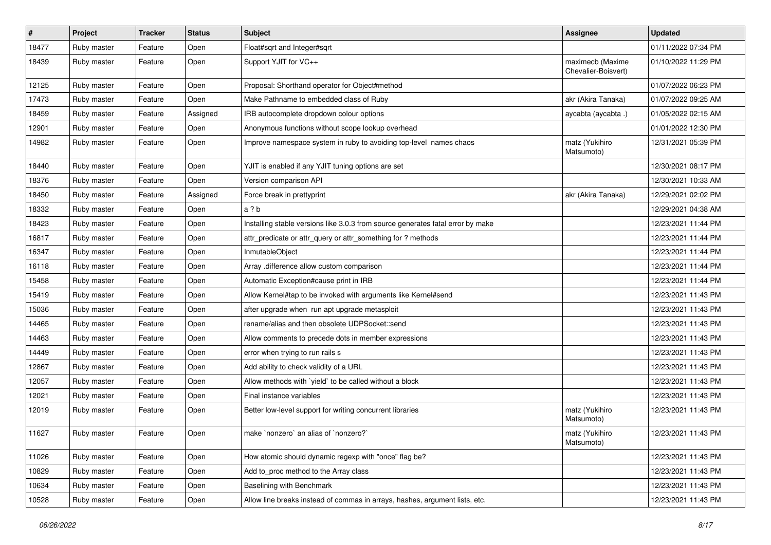| $\vert$ # | Project     | <b>Tracker</b> | <b>Status</b> | Subject                                                                         | <b>Assignee</b>                         | <b>Updated</b>      |
|-----------|-------------|----------------|---------------|---------------------------------------------------------------------------------|-----------------------------------------|---------------------|
| 18477     | Ruby master | Feature        | Open          | Float#sqrt and Integer#sqrt                                                     |                                         | 01/11/2022 07:34 PM |
| 18439     | Ruby master | Feature        | Open          | Support YJIT for VC++                                                           | maximecb (Maxime<br>Chevalier-Boisvert) | 01/10/2022 11:29 PM |
| 12125     | Ruby master | Feature        | Open          | Proposal: Shorthand operator for Object#method                                  |                                         | 01/07/2022 06:23 PM |
| 17473     | Ruby master | Feature        | Open          | Make Pathname to embedded class of Ruby                                         | akr (Akira Tanaka)                      | 01/07/2022 09:25 AM |
| 18459     | Ruby master | Feature        | Assigned      | IRB autocomplete dropdown colour options                                        | aycabta (aycabta.)                      | 01/05/2022 02:15 AM |
| 12901     | Ruby master | Feature        | Open          | Anonymous functions without scope lookup overhead                               |                                         | 01/01/2022 12:30 PM |
| 14982     | Ruby master | Feature        | Open          | Improve namespace system in ruby to avoiding top-level names chaos              | matz (Yukihiro<br>Matsumoto)            | 12/31/2021 05:39 PM |
| 18440     | Ruby master | Feature        | Open          | YJIT is enabled if any YJIT tuning options are set                              |                                         | 12/30/2021 08:17 PM |
| 18376     | Ruby master | Feature        | Open          | Version comparison API                                                          |                                         | 12/30/2021 10:33 AM |
| 18450     | Ruby master | Feature        | Assigned      | Force break in prettyprint                                                      | akr (Akira Tanaka)                      | 12/29/2021 02:02 PM |
| 18332     | Ruby master | Feature        | Open          | a ? b                                                                           |                                         | 12/29/2021 04:38 AM |
| 18423     | Ruby master | Feature        | Open          | Installing stable versions like 3.0.3 from source generates fatal error by make |                                         | 12/23/2021 11:44 PM |
| 16817     | Ruby master | Feature        | Open          | attr_predicate or attr_query or attr_something for ? methods                    |                                         | 12/23/2021 11:44 PM |
| 16347     | Ruby master | Feature        | Open          | InmutableObject                                                                 |                                         | 12/23/2021 11:44 PM |
| 16118     | Ruby master | Feature        | Open          | Array .difference allow custom comparison                                       |                                         | 12/23/2021 11:44 PM |
| 15458     | Ruby master | Feature        | Open          | Automatic Exception#cause print in IRB                                          |                                         | 12/23/2021 11:44 PM |
| 15419     | Ruby master | Feature        | Open          | Allow Kernel#tap to be invoked with arguments like Kernel#send                  |                                         | 12/23/2021 11:43 PM |
| 15036     | Ruby master | Feature        | Open          | after upgrade when run apt upgrade metasploit                                   |                                         | 12/23/2021 11:43 PM |
| 14465     | Ruby master | Feature        | Open          | rename/alias and then obsolete UDPSocket::send                                  |                                         | 12/23/2021 11:43 PM |
| 14463     | Ruby master | Feature        | Open          | Allow comments to precede dots in member expressions                            |                                         | 12/23/2021 11:43 PM |
| 14449     | Ruby master | Feature        | Open          | error when trying to run rails s                                                |                                         | 12/23/2021 11:43 PM |
| 12867     | Ruby master | Feature        | Open          | Add ability to check validity of a URL                                          |                                         | 12/23/2021 11:43 PM |
| 12057     | Ruby master | Feature        | Open          | Allow methods with `yield` to be called without a block                         |                                         | 12/23/2021 11:43 PM |
| 12021     | Ruby master | Feature        | Open          | Final instance variables                                                        |                                         | 12/23/2021 11:43 PM |
| 12019     | Ruby master | Feature        | Open          | Better low-level support for writing concurrent libraries                       | matz (Yukihiro<br>Matsumoto)            | 12/23/2021 11:43 PM |
| 11627     | Ruby master | Feature        | Open          | make 'nonzero' an alias of 'nonzero?'                                           | matz (Yukihiro<br>Matsumoto)            | 12/23/2021 11:43 PM |
| 11026     | Ruby master | Feature        | Open          | How atomic should dynamic regexp with "once" flag be?                           |                                         | 12/23/2021 11:43 PM |
| 10829     | Ruby master | Feature        | Open          | Add to_proc method to the Array class                                           |                                         | 12/23/2021 11:43 PM |
| 10634     | Ruby master | Feature        | Open          | Baselining with Benchmark                                                       |                                         | 12/23/2021 11:43 PM |
| 10528     | Ruby master | Feature        | Open          | Allow line breaks instead of commas in arrays, hashes, argument lists, etc.     |                                         | 12/23/2021 11:43 PM |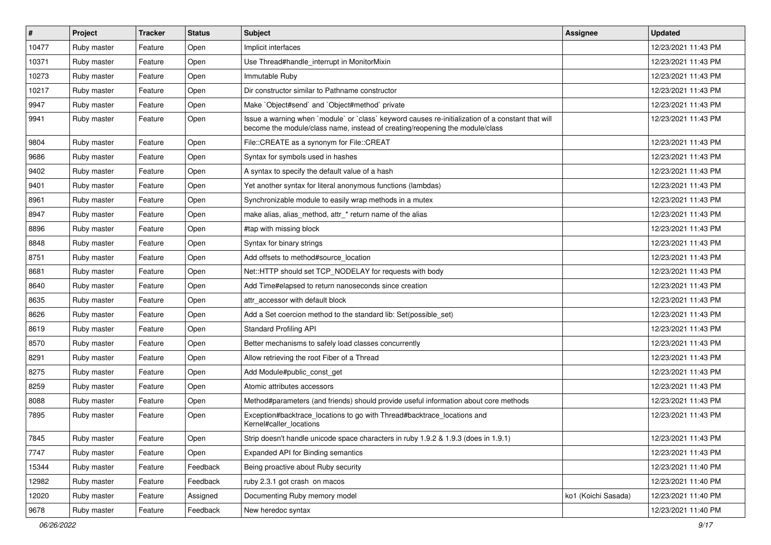| $\vert$ # | Project     | <b>Tracker</b> | <b>Status</b> | <b>Subject</b>                                                                                                                                                                    | <b>Assignee</b>     | <b>Updated</b>      |
|-----------|-------------|----------------|---------------|-----------------------------------------------------------------------------------------------------------------------------------------------------------------------------------|---------------------|---------------------|
| 10477     | Ruby master | Feature        | Open          | Implicit interfaces                                                                                                                                                               |                     | 12/23/2021 11:43 PM |
| 10371     | Ruby master | Feature        | Open          | Use Thread#handle_interrupt in MonitorMixin                                                                                                                                       |                     | 12/23/2021 11:43 PM |
| 10273     | Ruby master | Feature        | Open          | Immutable Ruby                                                                                                                                                                    |                     | 12/23/2021 11:43 PM |
| 10217     | Ruby master | Feature        | Open          | Dir constructor similar to Pathname constructor                                                                                                                                   |                     | 12/23/2021 11:43 PM |
| 9947      | Ruby master | Feature        | Open          | Make `Object#send` and `Object#method` private                                                                                                                                    |                     | 12/23/2021 11:43 PM |
| 9941      | Ruby master | Feature        | Open          | Issue a warning when 'module' or 'class' keyword causes re-initialization of a constant that will<br>become the module/class name, instead of creating/reopening the module/class |                     | 12/23/2021 11:43 PM |
| 9804      | Ruby master | Feature        | Open          | File::CREATE as a synonym for File::CREAT                                                                                                                                         |                     | 12/23/2021 11:43 PM |
| 9686      | Ruby master | Feature        | Open          | Syntax for symbols used in hashes                                                                                                                                                 |                     | 12/23/2021 11:43 PM |
| 9402      | Ruby master | Feature        | Open          | A syntax to specify the default value of a hash                                                                                                                                   |                     | 12/23/2021 11:43 PM |
| 9401      | Ruby master | Feature        | Open          | Yet another syntax for literal anonymous functions (lambdas)                                                                                                                      |                     | 12/23/2021 11:43 PM |
| 8961      | Ruby master | Feature        | Open          | Synchronizable module to easily wrap methods in a mutex                                                                                                                           |                     | 12/23/2021 11:43 PM |
| 8947      | Ruby master | Feature        | Open          | make alias, alias_method, attr_* return name of the alias                                                                                                                         |                     | 12/23/2021 11:43 PM |
| 8896      | Ruby master | Feature        | Open          | #tap with missing block                                                                                                                                                           |                     | 12/23/2021 11:43 PM |
| 8848      | Ruby master | Feature        | Open          | Syntax for binary strings                                                                                                                                                         |                     | 12/23/2021 11:43 PM |
| 8751      | Ruby master | Feature        | Open          | Add offsets to method#source_location                                                                                                                                             |                     | 12/23/2021 11:43 PM |
| 8681      | Ruby master | Feature        | Open          | Net::HTTP should set TCP NODELAY for requests with body                                                                                                                           |                     | 12/23/2021 11:43 PM |
| 8640      | Ruby master | Feature        | Open          | Add Time#elapsed to return nanoseconds since creation                                                                                                                             |                     | 12/23/2021 11:43 PM |
| 8635      | Ruby master | Feature        | Open          | attr_accessor with default block                                                                                                                                                  |                     | 12/23/2021 11:43 PM |
| 8626      | Ruby master | Feature        | Open          | Add a Set coercion method to the standard lib: Set(possible_set)                                                                                                                  |                     | 12/23/2021 11:43 PM |
| 8619      | Ruby master | Feature        | Open          | <b>Standard Profiling API</b>                                                                                                                                                     |                     | 12/23/2021 11:43 PM |
| 8570      | Ruby master | Feature        | Open          | Better mechanisms to safely load classes concurrently                                                                                                                             |                     | 12/23/2021 11:43 PM |
| 8291      | Ruby master | Feature        | Open          | Allow retrieving the root Fiber of a Thread                                                                                                                                       |                     | 12/23/2021 11:43 PM |
| 8275      | Ruby master | Feature        | Open          | Add Module#public_const_get                                                                                                                                                       |                     | 12/23/2021 11:43 PM |
| 8259      | Ruby master | Feature        | Open          | Atomic attributes accessors                                                                                                                                                       |                     | 12/23/2021 11:43 PM |
| 8088      | Ruby master | Feature        | Open          | Method#parameters (and friends) should provide useful information about core methods                                                                                              |                     | 12/23/2021 11:43 PM |
| 7895      | Ruby master | Feature        | Open          | Exception#backtrace_locations to go with Thread#backtrace_locations and<br>Kernel#caller locations                                                                                |                     | 12/23/2021 11:43 PM |
| 7845      | Ruby master | Feature        | Open          | Strip doesn't handle unicode space characters in ruby 1.9.2 & 1.9.3 (does in 1.9.1)                                                                                               |                     | 12/23/2021 11:43 PM |
| 7747      | Ruby master | Feature        | Open          | Expanded API for Binding semantics                                                                                                                                                |                     | 12/23/2021 11:43 PM |
| 15344     | Ruby master | Feature        | Feedback      | Being proactive about Ruby security                                                                                                                                               |                     | 12/23/2021 11:40 PM |
| 12982     | Ruby master | Feature        | Feedback      | ruby 2.3.1 got crash on macos                                                                                                                                                     |                     | 12/23/2021 11:40 PM |
| 12020     | Ruby master | Feature        | Assigned      | Documenting Ruby memory model                                                                                                                                                     | ko1 (Koichi Sasada) | 12/23/2021 11:40 PM |
| 9678      | Ruby master | Feature        | Feedback      | New heredoc syntax                                                                                                                                                                |                     | 12/23/2021 11:40 PM |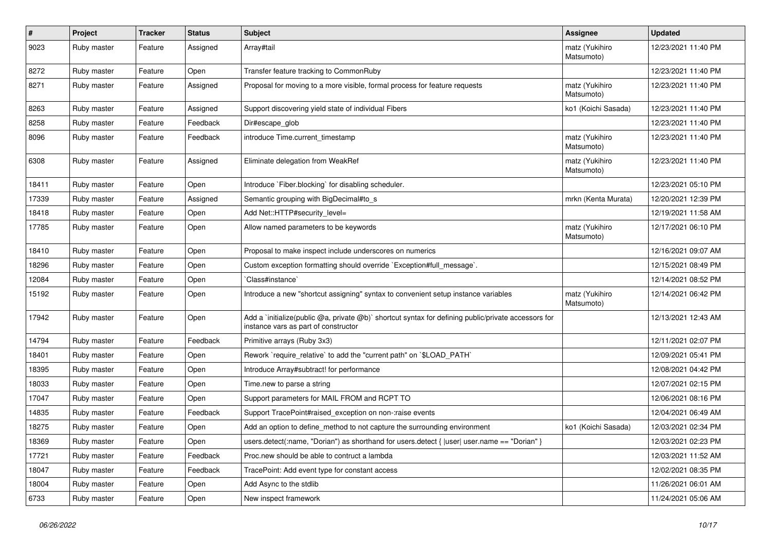| $\sharp$ | Project     | <b>Tracker</b> | <b>Status</b> | <b>Subject</b>                                                                                                                              | Assignee                     | <b>Updated</b>      |
|----------|-------------|----------------|---------------|---------------------------------------------------------------------------------------------------------------------------------------------|------------------------------|---------------------|
| 9023     | Ruby master | Feature        | Assigned      | Array#tail                                                                                                                                  | matz (Yukihiro<br>Matsumoto) | 12/23/2021 11:40 PM |
| 8272     | Ruby master | Feature        | Open          | Transfer feature tracking to CommonRuby                                                                                                     |                              | 12/23/2021 11:40 PM |
| 8271     | Ruby master | Feature        | Assigned      | Proposal for moving to a more visible, formal process for feature requests                                                                  | matz (Yukihiro<br>Matsumoto) | 12/23/2021 11:40 PM |
| 8263     | Ruby master | Feature        | Assigned      | Support discovering yield state of individual Fibers                                                                                        | ko1 (Koichi Sasada)          | 12/23/2021 11:40 PM |
| 8258     | Ruby master | Feature        | Feedback      | Dir#escape_glob                                                                                                                             |                              | 12/23/2021 11:40 PM |
| 8096     | Ruby master | Feature        | Feedback      | introduce Time.current timestamp                                                                                                            | matz (Yukihiro<br>Matsumoto) | 12/23/2021 11:40 PM |
| 6308     | Ruby master | Feature        | Assigned      | Eliminate delegation from WeakRef                                                                                                           | matz (Yukihiro<br>Matsumoto) | 12/23/2021 11:40 PM |
| 18411    | Ruby master | Feature        | Open          | Introduce `Fiber.blocking` for disabling scheduler.                                                                                         |                              | 12/23/2021 05:10 PM |
| 17339    | Ruby master | Feature        | Assigned      | Semantic grouping with BigDecimal#to_s                                                                                                      | mrkn (Kenta Murata)          | 12/20/2021 12:39 PM |
| 18418    | Ruby master | Feature        | Open          | Add Net::HTTP#security level=                                                                                                               |                              | 12/19/2021 11:58 AM |
| 17785    | Ruby master | Feature        | Open          | Allow named parameters to be keywords                                                                                                       | matz (Yukihiro<br>Matsumoto) | 12/17/2021 06:10 PM |
| 18410    | Ruby master | Feature        | Open          | Proposal to make inspect include underscores on numerics                                                                                    |                              | 12/16/2021 09:07 AM |
| 18296    | Ruby master | Feature        | Open          | Custom exception formatting should override `Exception#full_message`.                                                                       |                              | 12/15/2021 08:49 PM |
| 12084    | Ruby master | Feature        | Open          | 'Class#instance'                                                                                                                            |                              | 12/14/2021 08:52 PM |
| 15192    | Ruby master | Feature        | Open          | Introduce a new "shortcut assigning" syntax to convenient setup instance variables                                                          | matz (Yukihiro<br>Matsumoto) | 12/14/2021 06:42 PM |
| 17942    | Ruby master | Feature        | Open          | Add a `initialize(public @a, private @b)` shortcut syntax for defining public/private accessors for<br>instance vars as part of constructor |                              | 12/13/2021 12:43 AM |
| 14794    | Ruby master | Feature        | Feedback      | Primitive arrays (Ruby 3x3)                                                                                                                 |                              | 12/11/2021 02:07 PM |
| 18401    | Ruby master | Feature        | Open          | Rework `require relative` to add the "current path" on `\$LOAD PATH`                                                                        |                              | 12/09/2021 05:41 PM |
| 18395    | Ruby master | Feature        | Open          | Introduce Array#subtract! for performance                                                                                                   |                              | 12/08/2021 04:42 PM |
| 18033    | Ruby master | Feature        | Open          | Time.new to parse a string                                                                                                                  |                              | 12/07/2021 02:15 PM |
| 17047    | Ruby master | Feature        | Open          | Support parameters for MAIL FROM and RCPT TO                                                                                                |                              | 12/06/2021 08:16 PM |
| 14835    | Ruby master | Feature        | Feedback      | Support TracePoint#raised exception on non-:raise events                                                                                    |                              | 12/04/2021 06:49 AM |
| 18275    | Ruby master | Feature        | Open          | Add an option to define method to not capture the surrounding environment                                                                   | ko1 (Koichi Sasada)          | 12/03/2021 02:34 PM |
| 18369    | Ruby master | Feature        | Open          | users.detect(:name, "Dorian") as shorthand for users.detect {  user  user.name == "Dorian" }                                                |                              | 12/03/2021 02:23 PM |
| 17721    | Ruby master | Feature        | Feedback      | Proc.new should be able to contruct a lambda                                                                                                |                              | 12/03/2021 11:52 AM |
| 18047    | Ruby master | Feature        | Feedback      | TracePoint: Add event type for constant access                                                                                              |                              | 12/02/2021 08:35 PM |
| 18004    | Ruby master | Feature        | Open          | Add Async to the stdlib                                                                                                                     |                              | 11/26/2021 06:01 AM |
| 6733     | Ruby master | Feature        | Open          | New inspect framework                                                                                                                       |                              | 11/24/2021 05:06 AM |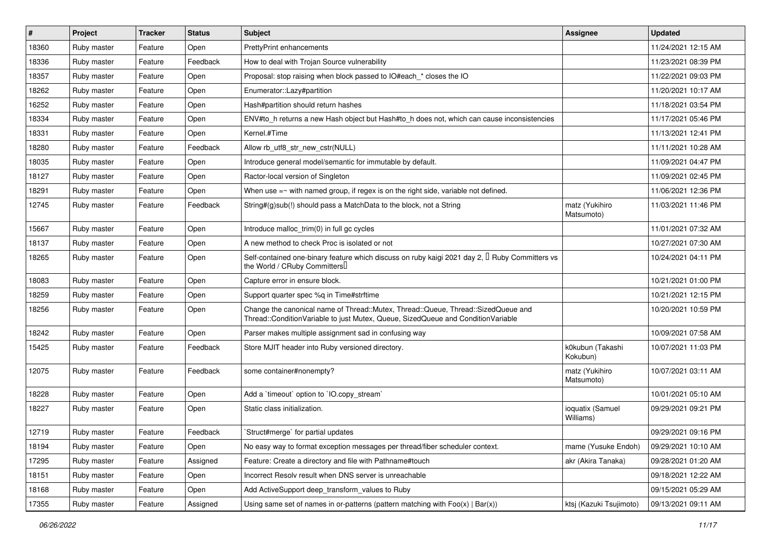| $\vert$ # | Project     | <b>Tracker</b> | <b>Status</b> | <b>Subject</b>                                                                                                                                                        | <b>Assignee</b>               | <b>Updated</b>      |
|-----------|-------------|----------------|---------------|-----------------------------------------------------------------------------------------------------------------------------------------------------------------------|-------------------------------|---------------------|
| 18360     | Ruby master | Feature        | Open          | <b>PrettyPrint enhancements</b>                                                                                                                                       |                               | 11/24/2021 12:15 AM |
| 18336     | Ruby master | Feature        | Feedback      | How to deal with Trojan Source vulnerability                                                                                                                          |                               | 11/23/2021 08:39 PM |
| 18357     | Ruby master | Feature        | Open          | Proposal: stop raising when block passed to IO#each_* closes the IO                                                                                                   |                               | 11/22/2021 09:03 PM |
| 18262     | Ruby master | Feature        | Open          | Enumerator::Lazy#partition                                                                                                                                            |                               | 11/20/2021 10:17 AM |
| 16252     | Ruby master | Feature        | Open          | Hash#partition should return hashes                                                                                                                                   |                               | 11/18/2021 03:54 PM |
| 18334     | Ruby master | Feature        | Open          | ENV#to_h returns a new Hash object but Hash#to_h does not, which can cause inconsistencies                                                                            |                               | 11/17/2021 05:46 PM |
| 18331     | Ruby master | Feature        | Open          | Kernel.#Time                                                                                                                                                          |                               | 11/13/2021 12:41 PM |
| 18280     | Ruby master | Feature        | Feedback      | Allow rb utf8 str new cstr(NULL)                                                                                                                                      |                               | 11/11/2021 10:28 AM |
| 18035     | Ruby master | Feature        | Open          | Introduce general model/semantic for immutable by default.                                                                                                            |                               | 11/09/2021 04:47 PM |
| 18127     | Ruby master | Feature        | Open          | Ractor-local version of Singleton                                                                                                                                     |                               | 11/09/2021 02:45 PM |
| 18291     | Ruby master | Feature        | Open          | When use $=\sim$ with named group, if regex is on the right side, variable not defined.                                                                               |                               | 11/06/2021 12:36 PM |
| 12745     | Ruby master | Feature        | Feedback      | String#(g)sub(!) should pass a MatchData to the block, not a String                                                                                                   | matz (Yukihiro<br>Matsumoto)  | 11/03/2021 11:46 PM |
| 15667     | Ruby master | Feature        | Open          | Introduce malloc_trim(0) in full gc cycles                                                                                                                            |                               | 11/01/2021 07:32 AM |
| 18137     | Ruby master | Feature        | Open          | A new method to check Proc is isolated or not                                                                                                                         |                               | 10/27/2021 07:30 AM |
| 18265     | Ruby master | Feature        | Open          | Self-contained one-binary feature which discuss on ruby kaigi 2021 day 2, <sup>[]</sup> Ruby Committers vs<br>the World / CRuby Committers                            |                               | 10/24/2021 04:11 PM |
| 18083     | Ruby master | Feature        | Open          | Capture error in ensure block.                                                                                                                                        |                               | 10/21/2021 01:00 PM |
| 18259     | Ruby master | Feature        | Open          | Support quarter spec %q in Time#strftime                                                                                                                              |                               | 10/21/2021 12:15 PM |
| 18256     | Ruby master | Feature        | Open          | Change the canonical name of Thread::Mutex, Thread::Queue, Thread::SizedQueue and<br>Thread::ConditionVariable to just Mutex, Queue, SizedQueue and ConditionVariable |                               | 10/20/2021 10:59 PM |
| 18242     | Ruby master | Feature        | Open          | Parser makes multiple assignment sad in confusing way                                                                                                                 |                               | 10/09/2021 07:58 AM |
| 15425     | Ruby master | Feature        | Feedback      | Store MJIT header into Ruby versioned directory.                                                                                                                      | k0kubun (Takashi<br>Kokubun)  | 10/07/2021 11:03 PM |
| 12075     | Ruby master | Feature        | Feedback      | some container#nonempty?                                                                                                                                              | matz (Yukihiro<br>Matsumoto)  | 10/07/2021 03:11 AM |
| 18228     | Ruby master | Feature        | Open          | Add a 'timeout' option to 'IO.copy_stream'                                                                                                                            |                               | 10/01/2021 05:10 AM |
| 18227     | Ruby master | Feature        | Open          | Static class initialization.                                                                                                                                          | ioquatix (Samuel<br>Williams) | 09/29/2021 09:21 PM |
| 12719     | Ruby master | Feature        | Feedback      | Struct#merge` for partial updates                                                                                                                                     |                               | 09/29/2021 09:16 PM |
| 18194     | Ruby master | Feature        | Open          | No easy way to format exception messages per thread/fiber scheduler context.                                                                                          | mame (Yusuke Endoh)           | 09/29/2021 10:10 AM |
| 17295     | Ruby master | Feature        | Assigned      | Feature: Create a directory and file with Pathname#touch                                                                                                              | akr (Akira Tanaka)            | 09/28/2021 01:20 AM |
| 18151     | Ruby master | Feature        | Open          | Incorrect Resolv result when DNS server is unreachable                                                                                                                |                               | 09/18/2021 12:22 AM |
| 18168     | Ruby master | Feature        | Open          | Add ActiveSupport deep_transform_values to Ruby                                                                                                                       |                               | 09/15/2021 05:29 AM |
| 17355     | Ruby master | Feature        | Assigned      | Using same set of names in or-patterns (pattern matching with $Foo(x)   Bar(x)$ )                                                                                     | ktsj (Kazuki Tsujimoto)       | 09/13/2021 09:11 AM |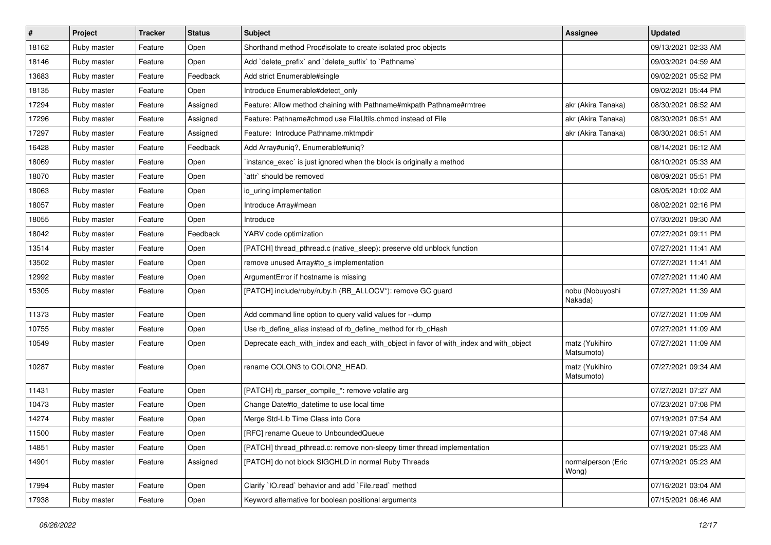| $\sharp$ | <b>Project</b> | <b>Tracker</b> | <b>Status</b> | <b>Subject</b>                                                                        | <b>Assignee</b>              | <b>Updated</b>      |
|----------|----------------|----------------|---------------|---------------------------------------------------------------------------------------|------------------------------|---------------------|
| 18162    | Ruby master    | Feature        | Open          | Shorthand method Proc#isolate to create isolated proc objects                         |                              | 09/13/2021 02:33 AM |
| 18146    | Ruby master    | Feature        | Open          | Add 'delete_prefix' and 'delete_suffix' to 'Pathname'                                 |                              | 09/03/2021 04:59 AM |
| 13683    | Ruby master    | Feature        | Feedback      | Add strict Enumerable#single                                                          |                              | 09/02/2021 05:52 PM |
| 18135    | Ruby master    | Feature        | Open          | Introduce Enumerable#detect_only                                                      |                              | 09/02/2021 05:44 PM |
| 17294    | Ruby master    | Feature        | Assigned      | Feature: Allow method chaining with Pathname#mkpath Pathname#rmtree                   | akr (Akira Tanaka)           | 08/30/2021 06:52 AM |
| 17296    | Ruby master    | Feature        | Assigned      | Feature: Pathname#chmod use FileUtils.chmod instead of File                           | akr (Akira Tanaka)           | 08/30/2021 06:51 AM |
| 17297    | Ruby master    | Feature        | Assigned      | Feature: Introduce Pathname.mktmpdir                                                  | akr (Akira Tanaka)           | 08/30/2021 06:51 AM |
| 16428    | Ruby master    | Feature        | Feedback      | Add Array#uniq?, Enumerable#uniq?                                                     |                              | 08/14/2021 06:12 AM |
| 18069    | Ruby master    | Feature        | Open          | instance_exec` is just ignored when the block is originally a method                  |                              | 08/10/2021 05:33 AM |
| 18070    | Ruby master    | Feature        | Open          | `attr` should be removed                                                              |                              | 08/09/2021 05:51 PM |
| 18063    | Ruby master    | Feature        | Open          | io_uring implementation                                                               |                              | 08/05/2021 10:02 AM |
| 18057    | Ruby master    | Feature        | Open          | Introduce Array#mean                                                                  |                              | 08/02/2021 02:16 PM |
| 18055    | Ruby master    | Feature        | Open          | Introduce                                                                             |                              | 07/30/2021 09:30 AM |
| 18042    | Ruby master    | Feature        | Feedback      | YARV code optimization                                                                |                              | 07/27/2021 09:11 PM |
| 13514    | Ruby master    | Feature        | Open          | [PATCH] thread_pthread.c (native_sleep): preserve old unblock function                |                              | 07/27/2021 11:41 AM |
| 13502    | Ruby master    | Feature        | Open          | remove unused Array#to_s implementation                                               |                              | 07/27/2021 11:41 AM |
| 12992    | Ruby master    | Feature        | Open          | ArgumentError if hostname is missing                                                  |                              | 07/27/2021 11:40 AM |
| 15305    | Ruby master    | Feature        | Open          | [PATCH] include/ruby/ruby.h (RB_ALLOCV*): remove GC guard                             | nobu (Nobuyoshi<br>Nakada)   | 07/27/2021 11:39 AM |
| 11373    | Ruby master    | Feature        | Open          | Add command line option to query valid values for --dump                              |                              | 07/27/2021 11:09 AM |
| 10755    | Ruby master    | Feature        | Open          | Use rb_define_alias instead of rb_define_method for rb_cHash                          |                              | 07/27/2021 11:09 AM |
| 10549    | Ruby master    | Feature        | Open          | Deprecate each_with_index and each_with_object in favor of with_index and with_object | matz (Yukihiro<br>Matsumoto) | 07/27/2021 11:09 AM |
| 10287    | Ruby master    | Feature        | Open          | rename COLON3 to COLON2_HEAD.                                                         | matz (Yukihiro<br>Matsumoto) | 07/27/2021 09:34 AM |
| 11431    | Ruby master    | Feature        | Open          | [PATCH] rb_parser_compile_*: remove volatile arg                                      |                              | 07/27/2021 07:27 AM |
| 10473    | Ruby master    | Feature        | Open          | Change Date#to_datetime to use local time                                             |                              | 07/23/2021 07:08 PM |
| 14274    | Ruby master    | Feature        | Open          | Merge Std-Lib Time Class into Core                                                    |                              | 07/19/2021 07:54 AM |
| 11500    | Ruby master    | Feature        | Open          | [RFC] rename Queue to UnboundedQueue                                                  |                              | 07/19/2021 07:48 AM |
| 14851    | Ruby master    | Feature        | Open          | [PATCH] thread_pthread.c: remove non-sleepy timer thread implementation               |                              | 07/19/2021 05:23 AM |
| 14901    | Ruby master    | Feature        | Assigned      | [PATCH] do not block SIGCHLD in normal Ruby Threads                                   | normalperson (Eric<br>Wong)  | 07/19/2021 05:23 AM |
| 17994    | Ruby master    | Feature        | Open          | Clarify `IO.read` behavior and add `File.read` method                                 |                              | 07/16/2021 03:04 AM |
| 17938    | Ruby master    | Feature        | Open          | Keyword alternative for boolean positional arguments                                  |                              | 07/15/2021 06:46 AM |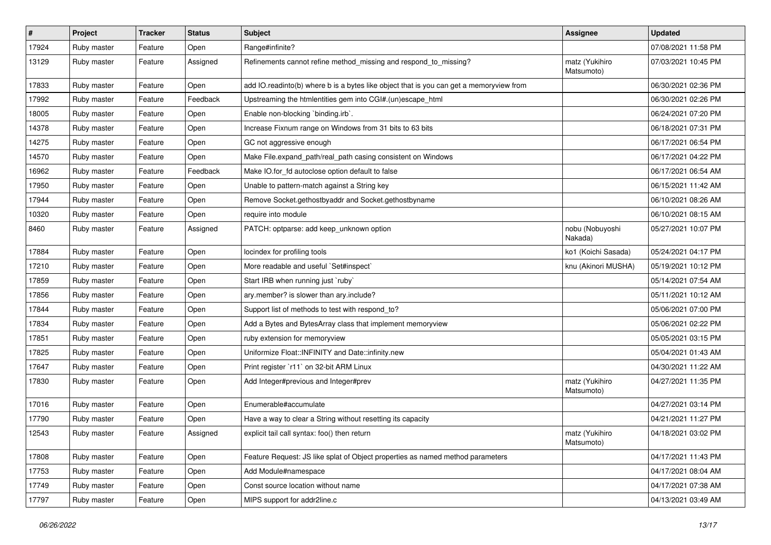| $\sharp$ | <b>Project</b> | <b>Tracker</b> | <b>Status</b> | Subject                                                                                 | Assignee                     | <b>Updated</b>      |
|----------|----------------|----------------|---------------|-----------------------------------------------------------------------------------------|------------------------------|---------------------|
| 17924    | Ruby master    | Feature        | Open          | Range#infinite?                                                                         |                              | 07/08/2021 11:58 PM |
| 13129    | Ruby master    | Feature        | Assigned      | Refinements cannot refine method_missing and respond_to_missing?                        | matz (Yukihiro<br>Matsumoto) | 07/03/2021 10:45 PM |
| 17833    | Ruby master    | Feature        | Open          | add IO.readinto(b) where b is a bytes like object that is you can get a memoryview from |                              | 06/30/2021 02:36 PM |
| 17992    | Ruby master    | Feature        | Feedback      | Upstreaming the htmlentities gem into CGI#.(un)escape_html                              |                              | 06/30/2021 02:26 PM |
| 18005    | Ruby master    | Feature        | Open          | Enable non-blocking 'binding.irb'.                                                      |                              | 06/24/2021 07:20 PM |
| 14378    | Ruby master    | Feature        | Open          | Increase Fixnum range on Windows from 31 bits to 63 bits                                |                              | 06/18/2021 07:31 PM |
| 14275    | Ruby master    | Feature        | Open          | GC not aggressive enough                                                                |                              | 06/17/2021 06:54 PM |
| 14570    | Ruby master    | Feature        | Open          | Make File.expand_path/real_path casing consistent on Windows                            |                              | 06/17/2021 04:22 PM |
| 16962    | Ruby master    | Feature        | Feedback      | Make IO.for_fd autoclose option default to false                                        |                              | 06/17/2021 06:54 AM |
| 17950    | Ruby master    | Feature        | Open          | Unable to pattern-match against a String key                                            |                              | 06/15/2021 11:42 AM |
| 17944    | Ruby master    | Feature        | Open          | Remove Socket.gethostbyaddr and Socket.gethostbyname                                    |                              | 06/10/2021 08:26 AM |
| 10320    | Ruby master    | Feature        | Open          | require into module                                                                     |                              | 06/10/2021 08:15 AM |
| 8460     | Ruby master    | Feature        | Assigned      | PATCH: optparse: add keep_unknown option                                                | nobu (Nobuyoshi<br>Nakada)   | 05/27/2021 10:07 PM |
| 17884    | Ruby master    | Feature        | Open          | locindex for profiling tools                                                            | ko1 (Koichi Sasada)          | 05/24/2021 04:17 PM |
| 17210    | Ruby master    | Feature        | Open          | More readable and useful `Set#inspect`                                                  | knu (Akinori MUSHA)          | 05/19/2021 10:12 PM |
| 17859    | Ruby master    | Feature        | Open          | Start IRB when running just `ruby`                                                      |                              | 05/14/2021 07:54 AM |
| 17856    | Ruby master    | Feature        | Open          | ary.member? is slower than ary.include?                                                 |                              | 05/11/2021 10:12 AM |
| 17844    | Ruby master    | Feature        | Open          | Support list of methods to test with respond_to?                                        |                              | 05/06/2021 07:00 PM |
| 17834    | Ruby master    | Feature        | Open          | Add a Bytes and BytesArray class that implement memoryview                              |                              | 05/06/2021 02:22 PM |
| 17851    | Ruby master    | Feature        | Open          | ruby extension for memoryview                                                           |                              | 05/05/2021 03:15 PM |
| 17825    | Ruby master    | Feature        | Open          | Uniformize Float::INFINITY and Date::infinity.new                                       |                              | 05/04/2021 01:43 AM |
| 17647    | Ruby master    | Feature        | Open          | Print register `r11` on 32-bit ARM Linux                                                |                              | 04/30/2021 11:22 AM |
| 17830    | Ruby master    | Feature        | Open          | Add Integer#previous and Integer#prev                                                   | matz (Yukihiro<br>Matsumoto) | 04/27/2021 11:35 PM |
| 17016    | Ruby master    | Feature        | Open          | Enumerable#accumulate                                                                   |                              | 04/27/2021 03:14 PM |
| 17790    | Ruby master    | Feature        | Open          | Have a way to clear a String without resetting its capacity                             |                              | 04/21/2021 11:27 PM |
| 12543    | Ruby master    | Feature        | Assigned      | explicit tail call syntax: foo() then return                                            | matz (Yukihiro<br>Matsumoto) | 04/18/2021 03:02 PM |
| 17808    | Ruby master    | Feature        | Open          | Feature Request: JS like splat of Object properties as named method parameters          |                              | 04/17/2021 11:43 PM |
| 17753    | Ruby master    | Feature        | Open          | Add Module#namespace                                                                    |                              | 04/17/2021 08:04 AM |
| 17749    | Ruby master    | Feature        | Open          | Const source location without name                                                      |                              | 04/17/2021 07:38 AM |
| 17797    | Ruby master    | Feature        | Open          | MIPS support for addr2line.c                                                            |                              | 04/13/2021 03:49 AM |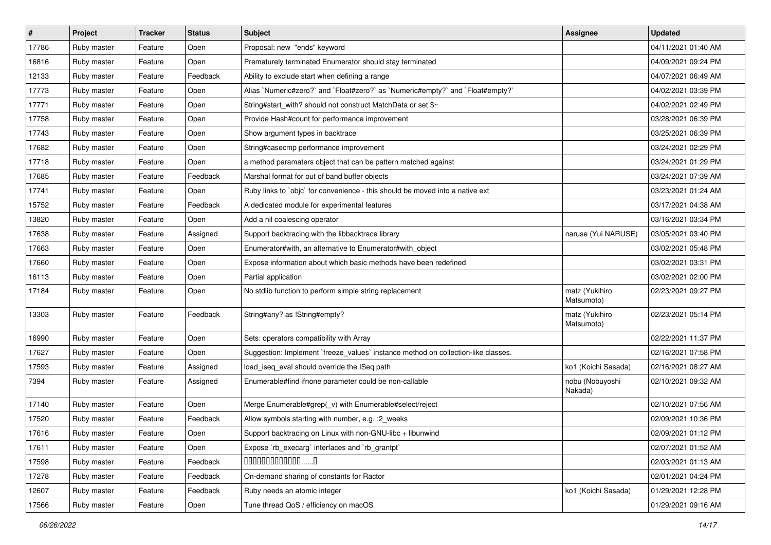| $\sharp$ | Project     | <b>Tracker</b> | <b>Status</b> | Subject                                                                           | <b>Assignee</b>              | <b>Updated</b>      |
|----------|-------------|----------------|---------------|-----------------------------------------------------------------------------------|------------------------------|---------------------|
| 17786    | Ruby master | Feature        | Open          | Proposal: new "ends" keyword                                                      |                              | 04/11/2021 01:40 AM |
| 16816    | Ruby master | Feature        | Open          | Prematurely terminated Enumerator should stay terminated                          |                              | 04/09/2021 09:24 PM |
| 12133    | Ruby master | Feature        | Feedback      | Ability to exclude start when defining a range                                    |                              | 04/07/2021 06:49 AM |
| 17773    | Ruby master | Feature        | Open          | Alias `Numeric#zero?` and `Float#zero?` as `Numeric#empty?` and `Float#empty?`    |                              | 04/02/2021 03:39 PM |
| 17771    | Ruby master | Feature        | Open          | String#start_with? should not construct MatchData or set \$~                      |                              | 04/02/2021 02:49 PM |
| 17758    | Ruby master | Feature        | Open          | Provide Hash#count for performance improvement                                    |                              | 03/28/2021 06:39 PM |
| 17743    | Ruby master | Feature        | Open          | Show argument types in backtrace                                                  |                              | 03/25/2021 06:39 PM |
| 17682    | Ruby master | Feature        | Open          | String#casecmp performance improvement                                            |                              | 03/24/2021 02:29 PM |
| 17718    | Ruby master | Feature        | Open          | a method paramaters object that can be pattern matched against                    |                              | 03/24/2021 01:29 PM |
| 17685    | Ruby master | Feature        | Feedback      | Marshal format for out of band buffer objects                                     |                              | 03/24/2021 07:39 AM |
| 17741    | Ruby master | Feature        | Open          | Ruby links to `objc` for convenience - this should be moved into a native ext     |                              | 03/23/2021 01:24 AM |
| 15752    | Ruby master | Feature        | Feedback      | A dedicated module for experimental features                                      |                              | 03/17/2021 04:38 AM |
| 13820    | Ruby master | Feature        | Open          | Add a nil coalescing operator                                                     |                              | 03/16/2021 03:34 PM |
| 17638    | Ruby master | Feature        | Assigned      | Support backtracing with the libbacktrace library                                 | naruse (Yui NARUSE)          | 03/05/2021 03:40 PM |
| 17663    | Ruby master | Feature        | Open          | Enumerator#with, an alternative to Enumerator#with_object                         |                              | 03/02/2021 05:48 PM |
| 17660    | Ruby master | Feature        | Open          | Expose information about which basic methods have been redefined                  |                              | 03/02/2021 03:31 PM |
| 16113    | Ruby master | Feature        | Open          | Partial application                                                               |                              | 03/02/2021 02:00 PM |
| 17184    | Ruby master | Feature        | Open          | No stdlib function to perform simple string replacement                           | matz (Yukihiro<br>Matsumoto) | 02/23/2021 09:27 PM |
| 13303    | Ruby master | Feature        | Feedback      | String#any? as !String#empty?                                                     | matz (Yukihiro<br>Matsumoto) | 02/23/2021 05:14 PM |
| 16990    | Ruby master | Feature        | Open          | Sets: operators compatibility with Array                                          |                              | 02/22/2021 11:37 PM |
| 17627    | Ruby master | Feature        | Open          | Suggestion: Implement `freeze_values` instance method on collection-like classes. |                              | 02/16/2021 07:58 PM |
| 17593    | Ruby master | Feature        | Assigned      | load_iseq_eval should override the ISeq path                                      | ko1 (Koichi Sasada)          | 02/16/2021 08:27 AM |
| 7394     | Ruby master | Feature        | Assigned      | Enumerable#find ifnone parameter could be non-callable                            | nobu (Nobuyoshi<br>Nakada)   | 02/10/2021 09:32 AM |
| 17140    | Ruby master | Feature        | Open          | Merge Enumerable#grep(_v) with Enumerable#select/reject                           |                              | 02/10/2021 07:56 AM |
| 17520    | Ruby master | Feature        | Feedback      | Allow symbols starting with number, e.g. : 2_weeks                                |                              | 02/09/2021 10:36 PM |
| 17616    | Ruby master | Feature        | Open          | Support backtracing on Linux with non-GNU-libc + libunwind                        |                              | 02/09/2021 01:12 PM |
| 17611    | Ruby master | Feature        | Open          | Expose `rb_execarg` interfaces and `rb_grantpt`                                   |                              | 02/07/2021 01:52 AM |
| 17598    | Ruby master | Feature        | Feedback      | $0000000000000010$                                                                |                              | 02/03/2021 01:13 AM |
| 17278    | Ruby master | Feature        | Feedback      | On-demand sharing of constants for Ractor                                         |                              | 02/01/2021 04:24 PM |
| 12607    | Ruby master | Feature        | Feedback      | Ruby needs an atomic integer                                                      | ko1 (Koichi Sasada)          | 01/29/2021 12:28 PM |
| 17566    | Ruby master | Feature        | Open          | Tune thread QoS / efficiency on macOS                                             |                              | 01/29/2021 09:16 AM |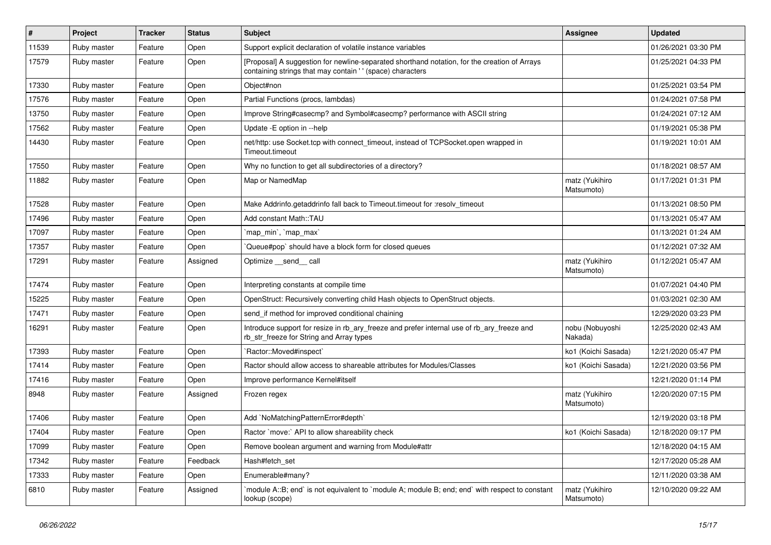| $\sharp$ | Project     | <b>Tracker</b> | <b>Status</b> | Subject                                                                                                                                                   | Assignee                     | <b>Updated</b>      |
|----------|-------------|----------------|---------------|-----------------------------------------------------------------------------------------------------------------------------------------------------------|------------------------------|---------------------|
| 11539    | Ruby master | Feature        | Open          | Support explicit declaration of volatile instance variables                                                                                               |                              | 01/26/2021 03:30 PM |
| 17579    | Ruby master | Feature        | Open          | [Proposal] A suggestion for newline-separated shorthand notation, for the creation of Arrays<br>containing strings that may contain '' (space) characters |                              | 01/25/2021 04:33 PM |
| 17330    | Ruby master | Feature        | Open          | Object#non                                                                                                                                                |                              | 01/25/2021 03:54 PM |
| 17576    | Ruby master | Feature        | Open          | Partial Functions (procs, lambdas)                                                                                                                        |                              | 01/24/2021 07:58 PM |
| 13750    | Ruby master | Feature        | Open          | Improve String#casecmp? and Symbol#casecmp? performance with ASCII string                                                                                 |                              | 01/24/2021 07:12 AM |
| 17562    | Ruby master | Feature        | Open          | Update - E option in --help                                                                                                                               |                              | 01/19/2021 05:38 PM |
| 14430    | Ruby master | Feature        | Open          | net/http: use Socket.tcp with connect_timeout, instead of TCPSocket.open wrapped in<br>Timeout.timeout                                                    |                              | 01/19/2021 10:01 AM |
| 17550    | Ruby master | Feature        | Open          | Why no function to get all subdirectories of a directory?                                                                                                 |                              | 01/18/2021 08:57 AM |
| 11882    | Ruby master | Feature        | Open          | Map or NamedMap                                                                                                                                           | matz (Yukihiro<br>Matsumoto) | 01/17/2021 01:31 PM |
| 17528    | Ruby master | Feature        | Open          | Make Addrinfo.getaddrinfo fall back to Timeout.timeout for :resolv_timeout                                                                                |                              | 01/13/2021 08:50 PM |
| 17496    | Ruby master | Feature        | Open          | Add constant Math::TAU                                                                                                                                    |                              | 01/13/2021 05:47 AM |
| 17097    | Ruby master | Feature        | Open          | `map_min`, `map_max`                                                                                                                                      |                              | 01/13/2021 01:24 AM |
| 17357    | Ruby master | Feature        | Open          | Queue#pop`should have a block form for closed queues                                                                                                      |                              | 01/12/2021 07:32 AM |
| 17291    | Ruby master | Feature        | Assigned      | Optimize __send__ call                                                                                                                                    | matz (Yukihiro<br>Matsumoto) | 01/12/2021 05:47 AM |
| 17474    | Ruby master | Feature        | Open          | Interpreting constants at compile time                                                                                                                    |                              | 01/07/2021 04:40 PM |
| 15225    | Ruby master | Feature        | Open          | OpenStruct: Recursively converting child Hash objects to OpenStruct objects.                                                                              |                              | 01/03/2021 02:30 AM |
| 17471    | Ruby master | Feature        | Open          | send_if method for improved conditional chaining                                                                                                          |                              | 12/29/2020 03:23 PM |
| 16291    | Ruby master | Feature        | Open          | Introduce support for resize in rb_ary_freeze and prefer internal use of rb_ary_freeze and<br>rb_str_freeze for String and Array types                    | nobu (Nobuyoshi<br>Nakada)   | 12/25/2020 02:43 AM |
| 17393    | Ruby master | Feature        | Open          | `Ractor::Moved#inspect`                                                                                                                                   | ko1 (Koichi Sasada)          | 12/21/2020 05:47 PM |
| 17414    | Ruby master | Feature        | Open          | Ractor should allow access to shareable attributes for Modules/Classes                                                                                    | ko1 (Koichi Sasada)          | 12/21/2020 03:56 PM |
| 17416    | Ruby master | Feature        | Open          | Improve performance Kernel#itself                                                                                                                         |                              | 12/21/2020 01:14 PM |
| 8948     | Ruby master | Feature        | Assigned      | Frozen regex                                                                                                                                              | matz (Yukihiro<br>Matsumoto) | 12/20/2020 07:15 PM |
| 17406    | Ruby master | Feature        | Open          | Add `NoMatchingPatternError#depth`                                                                                                                        |                              | 12/19/2020 03:18 PM |
| 17404    | Ruby master | Feature        | Open          | Ractor `move:` API to allow shareability check                                                                                                            | ko1 (Koichi Sasada)          | 12/18/2020 09:17 PM |
| 17099    | Ruby master | Feature        | Open          | Remove boolean argument and warning from Module#attr                                                                                                      |                              | 12/18/2020 04:15 AM |
| 17342    | Ruby master | Feature        | Feedback      | Hash#fetch set                                                                                                                                            |                              | 12/17/2020 05:28 AM |
| 17333    | Ruby master | Feature        | Open          | Enumerable#many?                                                                                                                                          |                              | 12/11/2020 03:38 AM |
| 6810     | Ruby master | Feature        | Assigned      | module A::B; end` is not equivalent to `module A; module B; end; end` with respect to constant<br>lookup (scope)                                          | matz (Yukihiro<br>Matsumoto) | 12/10/2020 09:22 AM |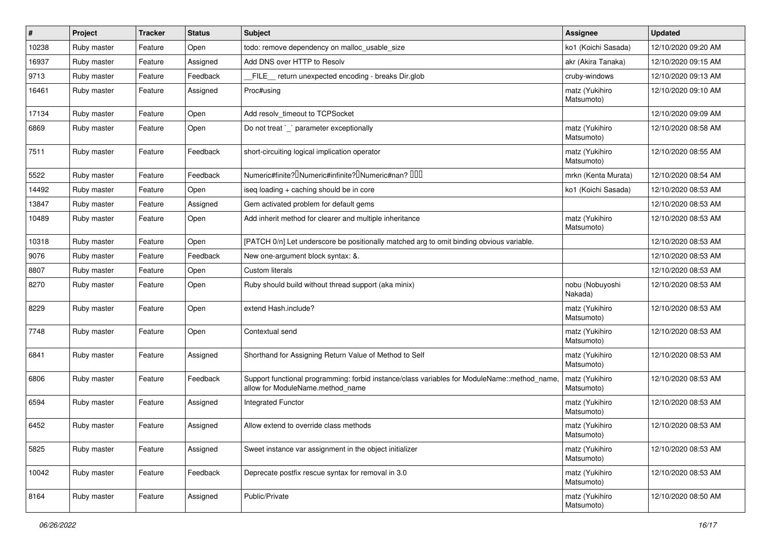| $\#$  | Project     | <b>Tracker</b> | <b>Status</b> | <b>Subject</b>                                                                                                                   | <b>Assignee</b>              | <b>Updated</b>      |
|-------|-------------|----------------|---------------|----------------------------------------------------------------------------------------------------------------------------------|------------------------------|---------------------|
| 10238 | Ruby master | Feature        | Open          | todo: remove dependency on malloc_usable_size                                                                                    | ko1 (Koichi Sasada)          | 12/10/2020 09:20 AM |
| 16937 | Ruby master | Feature        | Assigned      | Add DNS over HTTP to Resolv                                                                                                      | akr (Akira Tanaka)           | 12/10/2020 09:15 AM |
| 9713  | Ruby master | Feature        | Feedback      | FILE return unexpected encoding - breaks Dir.glob                                                                                | cruby-windows                | 12/10/2020 09:13 AM |
| 16461 | Ruby master | Feature        | Assigned      | Proc#using                                                                                                                       | matz (Yukihiro<br>Matsumoto) | 12/10/2020 09:10 AM |
| 17134 | Ruby master | Feature        | Open          | Add resolv timeout to TCPSocket                                                                                                  |                              | 12/10/2020 09:09 AM |
| 6869  | Ruby master | Feature        | Open          | Do not treat `_` parameter exceptionally                                                                                         | matz (Yukihiro<br>Matsumoto) | 12/10/2020 08:58 AM |
| 7511  | Ruby master | Feature        | Feedback      | short-circuiting logical implication operator                                                                                    | matz (Yukihiro<br>Matsumoto) | 12/10/2020 08:55 AM |
| 5522  | Ruby master | Feature        | Feedback      | Numeric#finite? <sup>[]</sup> Numeric#infinite? <sup>[]</sup> Numeric#nan? <sup>[10]</sup>                                       | mrkn (Kenta Murata)          | 12/10/2020 08:54 AM |
| 14492 | Ruby master | Feature        | Open          | iseq loading + caching should be in core                                                                                         | ko1 (Koichi Sasada)          | 12/10/2020 08:53 AM |
| 13847 | Ruby master | Feature        | Assigned      | Gem activated problem for default gems                                                                                           |                              | 12/10/2020 08:53 AM |
| 10489 | Ruby master | Feature        | Open          | Add inherit method for clearer and multiple inheritance                                                                          | matz (Yukihiro<br>Matsumoto) | 12/10/2020 08:53 AM |
| 10318 | Ruby master | Feature        | Open          | [PATCH 0/n] Let underscore be positionally matched arg to omit binding obvious variable.                                         |                              | 12/10/2020 08:53 AM |
| 9076  | Ruby master | Feature        | Feedback      | New one-argument block syntax: &.                                                                                                |                              | 12/10/2020 08:53 AM |
| 8807  | Ruby master | Feature        | Open          | Custom literals                                                                                                                  |                              | 12/10/2020 08:53 AM |
| 8270  | Ruby master | Feature        | Open          | Ruby should build without thread support (aka minix)                                                                             | nobu (Nobuyoshi<br>Nakada)   | 12/10/2020 08:53 AM |
| 8229  | Ruby master | Feature        | Open          | extend Hash.include?                                                                                                             | matz (Yukihiro<br>Matsumoto) | 12/10/2020 08:53 AM |
| 7748  | Ruby master | Feature        | Open          | Contextual send                                                                                                                  | matz (Yukihiro<br>Matsumoto) | 12/10/2020 08:53 AM |
| 6841  | Ruby master | Feature        | Assigned      | Shorthand for Assigning Return Value of Method to Self                                                                           | matz (Yukihiro<br>Matsumoto) | 12/10/2020 08:53 AM |
| 6806  | Ruby master | Feature        | Feedback      | Support functional programming: forbid instance/class variables for ModuleName::method_name.<br>allow for ModuleName.method name | matz (Yukihiro<br>Matsumoto) | 12/10/2020 08:53 AM |
| 6594  | Ruby master | Feature        | Assigned      | <b>Integrated Functor</b>                                                                                                        | matz (Yukihiro<br>Matsumoto) | 12/10/2020 08:53 AM |
| 6452  | Ruby master | Feature        | Assigned      | Allow extend to override class methods                                                                                           | matz (Yukihiro<br>Matsumoto) | 12/10/2020 08:53 AM |
| 5825  | Ruby master | Feature        | Assigned      | Sweet instance var assignment in the object initializer                                                                          | matz (Yukihiro<br>Matsumoto) | 12/10/2020 08:53 AM |
| 10042 | Ruby master | Feature        | Feedback      | Deprecate postfix rescue syntax for removal in 3.0                                                                               | matz (Yukihiro<br>Matsumoto) | 12/10/2020 08:53 AM |
| 8164  | Ruby master | Feature        | Assigned      | Public/Private                                                                                                                   | matz (Yukihiro<br>Matsumoto) | 12/10/2020 08:50 AM |